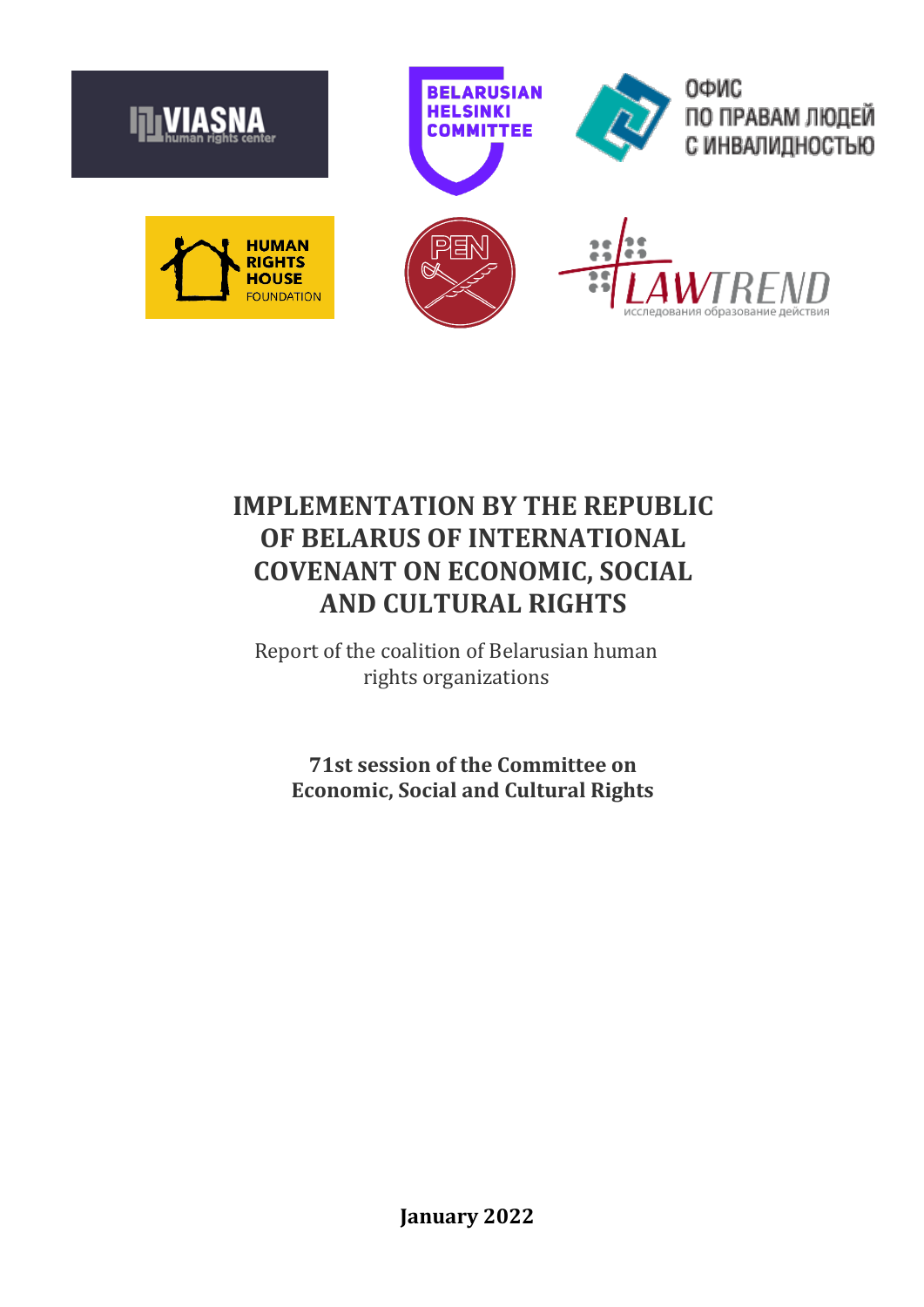

# **IMPLEMENTATION BY THE REPUBLIC OF BELARUS OF INTERNATIONAL COVENANT ON ECONOMIC, SOCIAL AND CULTURAL RIGHTS**

Report of the coalition of Belarusian human rights organizations

**71st session of the Committee on Economic, Social and Cultural Rights**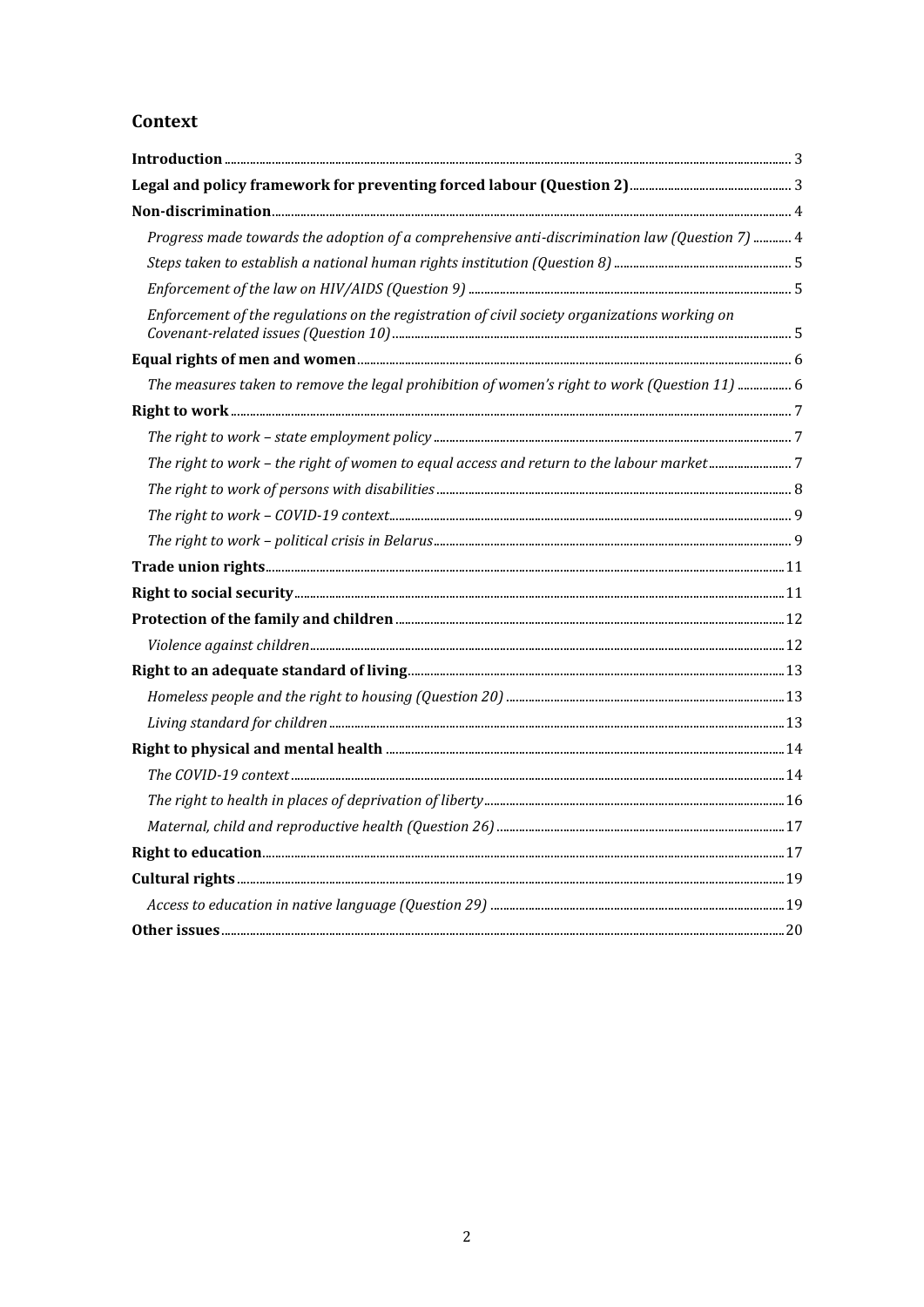## Context

| Progress made towards the adoption of a comprehensive anti-discrimination law (Question 7)  4 |  |
|-----------------------------------------------------------------------------------------------|--|
|                                                                                               |  |
|                                                                                               |  |
| Enforcement of the regulations on the registration of civil society organizations working on  |  |
|                                                                                               |  |
| The measures taken to remove the legal prohibition of women's right to work (Question 11)  6  |  |
|                                                                                               |  |
|                                                                                               |  |
| The right to work - the right of women to equal access and return to the labour market7       |  |
|                                                                                               |  |
|                                                                                               |  |
|                                                                                               |  |
|                                                                                               |  |
|                                                                                               |  |
|                                                                                               |  |
|                                                                                               |  |
|                                                                                               |  |
|                                                                                               |  |
|                                                                                               |  |
|                                                                                               |  |
|                                                                                               |  |
|                                                                                               |  |
|                                                                                               |  |
|                                                                                               |  |
|                                                                                               |  |
|                                                                                               |  |
|                                                                                               |  |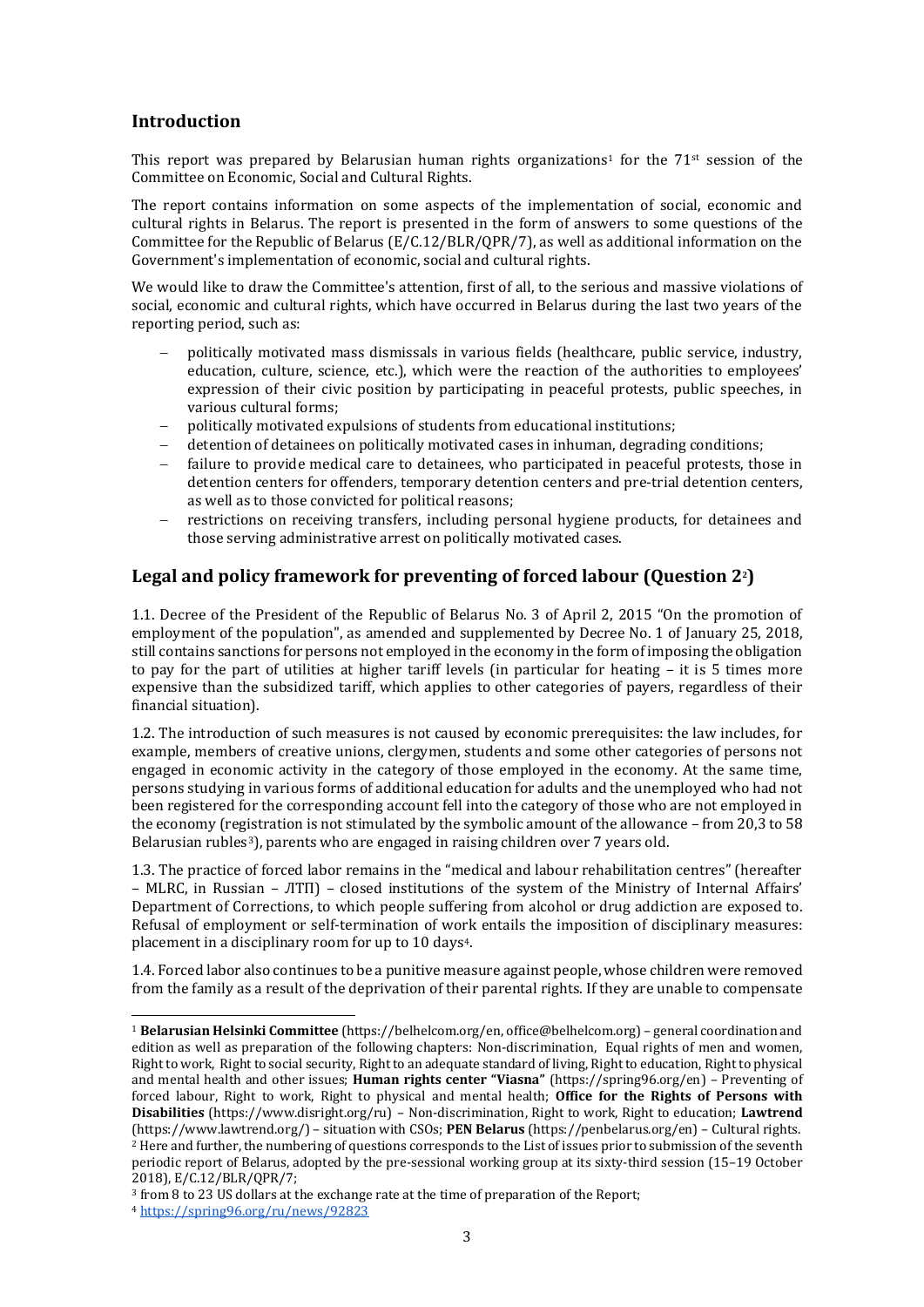## <span id="page-2-0"></span>**Introduction**

This report was prepared by Belarusian human rights organizations<sup>1</sup> for the  $71$ <sup>st</sup> session of the Committee on Economic, Social and Cultural Rights.

The report contains information on some aspects of the implementation of social, economic and cultural rights in Belarus. The report is presented in the form of answers to some questions of the Committee for the Republic of Belarus (E/C.12/BLR/QPR/7), as well as additional information on the Government's implementation of economic, social and cultural rights.

We would like to draw the Committee's attention, first of all, to the serious and massive violations of social, economic and cultural rights, which have occurred in Belarus during the last two years of the reporting period, such as:

- politically motivated mass dismissals in various fields (healthcare, public service, industry, education, culture, science, etc.), which were the reaction of the authorities to employees' expression of their civic position by participating in peaceful protests, public speeches, in various cultural forms;
- politically motivated expulsions of students from educational institutions;
- detention of detainees on politically motivated cases in inhuman, degrading conditions;
- failure to provide medical care to detainees, who participated in peaceful protests, those in detention centers for offenders, temporary detention centers and pre-trial detention centers, as well as to those convicted for political reasons;
- restrictions on receiving transfers, including personal hygiene products, for detainees and those serving administrative arrest on politically motivated cases.

## <span id="page-2-1"></span>**Legal and policy framework for preventing of forced labour (Question 22)**

1.1. Decree of the President of the Republic of Belarus No. 3 of April 2, 2015 "On the promotion of employment of the population", as amended and supplemented by Decree No. 1 of January 25, 2018, still contains sanctions for persons not employed in the economy in the form of imposing the obligation to pay for the part of utilities at higher tariff levels (in particular for heating – it is 5 times more expensive than the subsidized tariff, which applies to other categories of payers, regardless of their financial situation).

1.2. The introduction of such measures is not caused by economic prerequisites: the law includes, for example, members of creative unions, clergymen, students and some other categories of persons not engaged in economic activity in the category of those employed in the economy. At the same time, persons studying in various forms of additional education for adults and the unemployed who had not been registered for the corresponding account fell into the category of those who are not employed in the economy (registration is not stimulated by the symbolic amount of the allowance – from 20,3 to 58 Belarusian rubles<sup>3</sup>), parents who are engaged in raising children over 7 years old.

1.3. The practice of forced labor remains in the "medical and labour rehabilitation centres" (hereafter – MLRC, in Russian – ЛТП) – closed institutions of the system of the Ministry of Internal Affairs' Department of Corrections, to which people suffering from alcohol or drug addiction are exposed to. Refusal of employment or self-termination of work entails the imposition of disciplinary measures: placement in a disciplinary room for up to 10 days4.

1.4. Forced labor also continues to be a punitive measure against people, whose children were removed from the family as a result of the deprivation of their parental rights. If they are unable to compensate

<sup>1</sup> **Belarusian Helsinki Committee** [\(https://belhelcom.org/en,](https://belhelcom.org/en) office@belhelcom.org) – general coordination and edition as well as preparation of the following chapters: Non-discrimination, Equal rights of men and women, Right to work, Right to social security, Right to an adequate standard of living, Right to education, Right to physical and mental health and other issues; **Human rights center "Viasna"** [\(https://spring96.org/en\)](https://spring96.org/en) – Preventing of forced labour, Right to work, Right to physical and mental health; **Office for the Rights of Persons with Disabilities** [\(https://www.disright.org/ru\)](https://www.disright.org/ru) – Non-discrimination, Right to work, Right to education; **Lawtrend** [\(https://www.lawtrend.org/\)](https://www.lawtrend.org/) – situation with CSOs; **PEN Belarus** [\(https://penbelarus.org/en\)](https://penbelarus.org/en) – Cultural rights. <sup>2</sup> Here and further, the numbering of questions corresponds to the List of issues prior to submission of the seventh periodic report of Belarus, adopted by the pre-sessional working group at its sixty-third session (15–19 October 2018), E/C.12/BLR/QPR/7;

<sup>3</sup> from 8 to 23 US dollars at the exchange rate at the time of preparation of the Report;

<sup>4</sup> <https://spring96.org/ru/news/92823>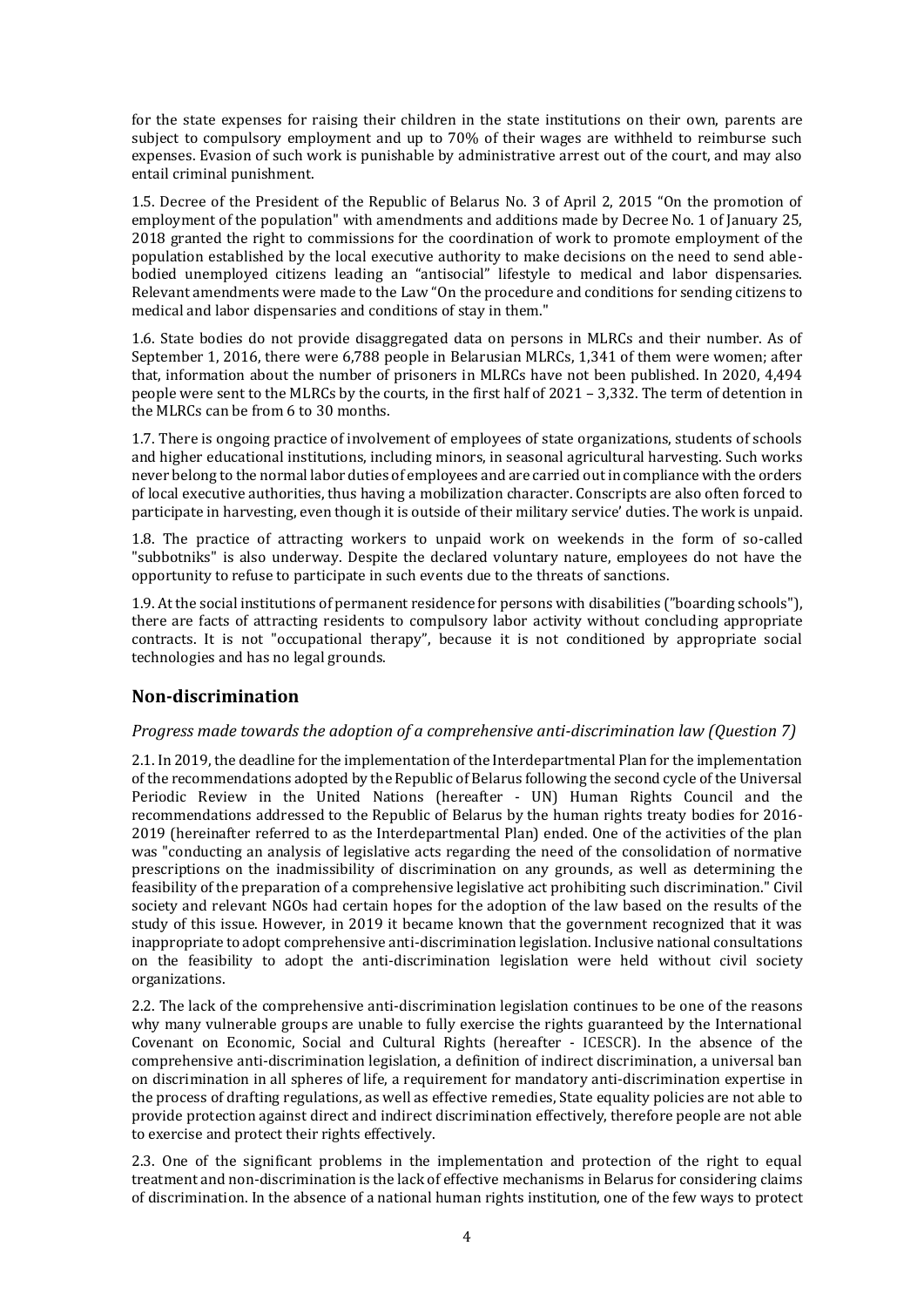for the state expenses for raising their children in the state institutions on their own, parents are subject to compulsory employment and up to 70% of their wages are withheld to reimburse such expenses. Evasion of such work is punishable by administrative arrest out of the court, and may also entail criminal punishment.

1.5. Decree of the President of the Republic of Belarus No. 3 of April 2, 2015 "On the promotion of employment of the population" with amendments and additions made by Decree No. 1 of January 25, 2018 granted the right to commissions for the coordination of work to promote employment of the population established by the local executive authority to make decisions on the need to send ablebodied unemployed citizens leading an "antisocial" lifestyle to medical and labor dispensaries. Relevant amendments were made to the Law "On the procedure and conditions for sending citizens to medical and labor dispensaries and conditions of stay in them."

1.6. State bodies do not provide disaggregated data on persons in MLRCs and their number. As of September 1, 2016, there were 6,788 people in Belarusian MLRCs, 1,341 of them were women; after that, information about the number of prisoners in MLRCs have not been published. In 2020, 4,494 people were sent to the MLRCs by the courts, in the first half of 2021 – 3,332. The term of detention in the MLRCs can be from 6 to 30 months.

1.7. There is ongoing practice of involvement of employees of state organizations, students of schools and higher educational institutions, including minors, in seasonal agricultural harvesting. Such works never belong to the normal labor duties of employees and are carried out in compliance with the orders of local executive authorities, thus having a mobilization character. Conscripts are also often forced to participate in harvesting, even though it is outside of their military service' duties. The work is unpaid.

1.8. The practice of attracting workers to unpaid work on weekends in the form of so-called "subbotniks" is also underway. Despite the declared voluntary nature, employees do not have the opportunity to refuse to participate in such events due to the threats of sanctions.

1.9. At the social institutions of permanent residence for persons with disabilities ("boarding schools"), there are facts of attracting residents to compulsory labor activity without concluding appropriate contracts. It is not "occupational therapy", because it is not conditioned by appropriate social technologies and has no legal grounds.

## <span id="page-3-0"></span>**Non-discrimination**

#### <span id="page-3-1"></span>*Progress made towards the adoption of a comprehensive anti-discrimination law (Question 7)*

2.1. In 2019, the deadline for the implementation of the Interdepartmental Plan for the implementation of the recommendations adopted by the Republic of Belarus following the second cycle of the Universal Periodic Review in the United Nations (hereafter - UN) Human Rights Council and the recommendations addressed to the Republic of Belarus by the human rights treaty bodies for 2016- 2019 (hereinafter referred to as the Interdepartmental Plan) ended. One of the activities of the plan was "conducting an analysis of legislative acts regarding the need of the consolidation of normative prescriptions on the inadmissibility of discrimination on any grounds, as well as determining the feasibility of the preparation of a comprehensive legislative act prohibiting such discrimination." Civil society and relevant NGOs had certain hopes for the adoption of the law based on the results of the study of this issue. However, in 2019 it became known that the government recognized that it was inappropriate to adopt comprehensive anti-discrimination legislation. Inclusive national consultations on the feasibility to adopt the anti-discrimination legislation were held without civil society organizations.

2.2. The lack of the comprehensive anti-discrimination legislation continues to be one of the reasons why many vulnerable groups are unable to fully exercise the rights guaranteed by the International Covenant on Economic, Social and Cultural Rights (hereafter - ICESCR). In the absence of the comprehensive anti-discrimination legislation, a definition of indirect discrimination, a universal ban on discrimination in all spheres of life, a requirement for mandatory anti-discrimination expertise in the process of drafting regulations, as well as effective remedies, State equality policies are not able to provide protection against direct and indirect discrimination effectively, therefore people are not able to exercise and protect their rights effectively.

2.3. One of the significant problems in the implementation and protection of the right to equal treatment and non-discrimination is the lack of effective mechanisms in Belarus for considering claims of discrimination. In the absence of a national human rights institution, one of the few ways to protect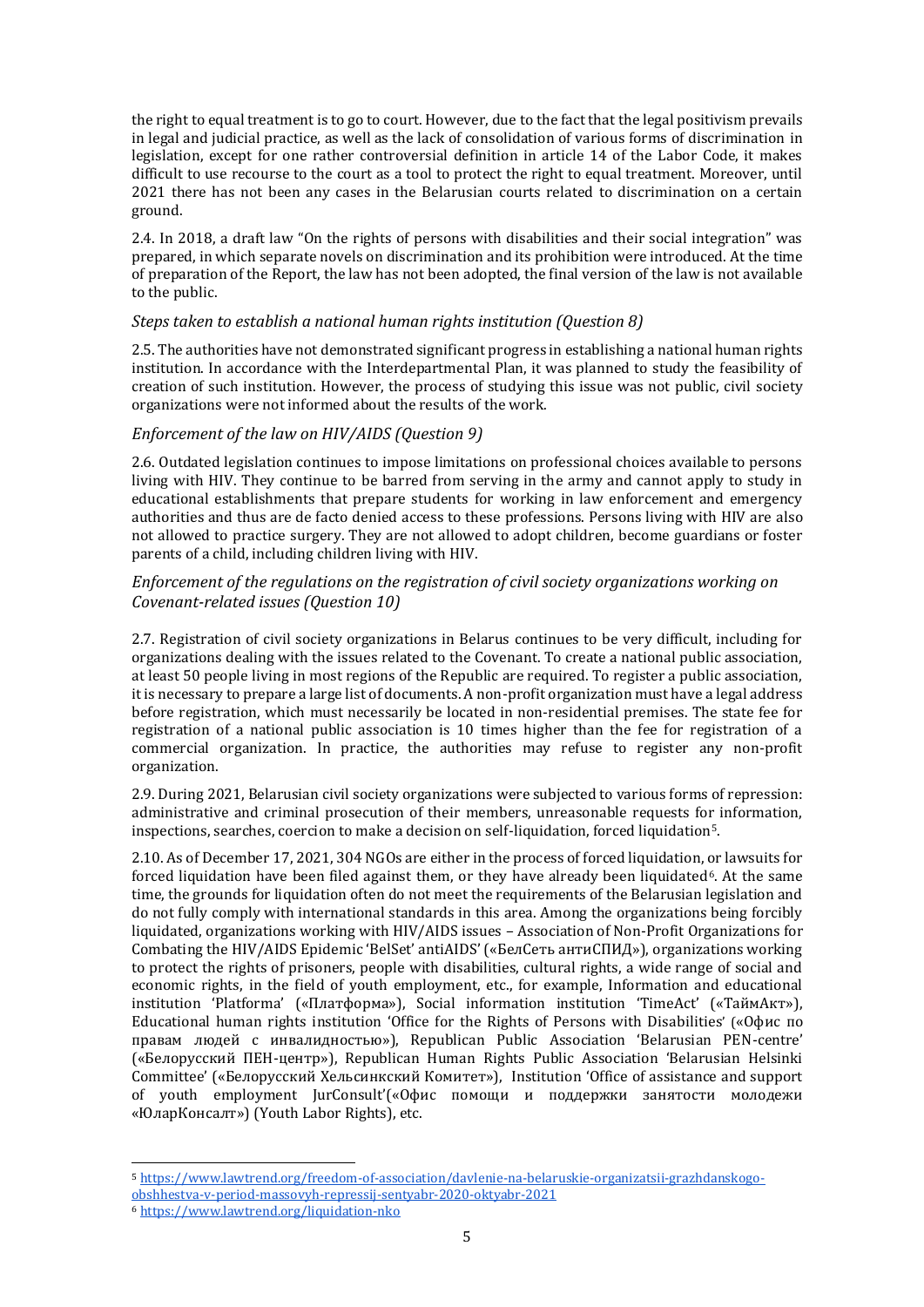the right to equal treatment is to go to court. However, due to the fact that the legal positivism prevails in legal and judicial practice, as well as the lack of consolidation of various forms of discrimination in legislation, except for one rather controversial definition in article 14 of the Labor Code, it makes difficult to use recourse to the court as a tool to protect the right to equal treatment. Moreover, until 2021 there has not been any cases in the Belarusian courts related to discrimination on a certain ground.

2.4. In 2018, a draft law "On the rights of persons with disabilities and their social integration" was prepared, in which separate novels on discrimination and its prohibition were introduced. At the time of preparation of the Report, the law has not been adopted, the final version of the law is not available to the public.

#### <span id="page-4-0"></span>*Steps taken to establish a national human rights institution (Question 8)*

2.5. The authorities have not demonstrated significant progress in establishing a national human rights institution. In accordance with the Interdepartmental Plan, it was planned to study the feasibility of creation of such institution. However, the process of studying this issue was not public, civil society organizations were not informed about the results of the work.

#### <span id="page-4-1"></span>*Enforcement of the law on HIV/AIDS (Question 9)*

2.6. Outdated legislation continues to impose limitations on professional choices available to persons living with HIV. They continue to be barred from serving in the army and cannot apply to study in educational establishments that prepare students for working in law enforcement and emergency authorities and thus are de facto denied access to these professions. Persons living with HIV are also not allowed to practice surgery. They are not allowed to adopt children, become guardians or foster parents of a child, including children living with HIV.

#### <span id="page-4-2"></span>*Enforcement of the regulations on the registration of civil society organizations working on Covenant-related issues (Question 10)*

2.7. Registration of civil society organizations in Belarus continues to be very difficult, including for organizations dealing with the issues related to the Covenant. To create a national public association, at least 50 people living in most regions of the Republic are required. To register a public association, it is necessary to prepare a large list of documents. A non-profit organization must have a legal address before registration, which must necessarily be located in non-residential premises. The state fee for registration of a national public association is 10 times higher than the fee for registration of a commercial organization. In practice, the authorities may refuse to register any non-profit organization.

2.9. During 2021, Belarusian civil society organizations were subjected to various forms of repression: administrative and criminal prosecution of their members, unreasonable requests for information, inspections, searches, coercion to make a decision on self-liquidation, forced liquidation5.

2.10. As of December 17, 2021, 304 NGOs are either in the process of forced liquidation, or lawsuits for forced liquidation have been filed against them, or they have already been liquidated<sup>6</sup>. At the same time, the grounds for liquidation often do not meet the requirements of the Belarusian legislation and do not fully comply with international standards in this area. Among the organizations being forcibly liquidated, organizations working with HIV/AIDS issues – Association of Non-Profit Organizations for Combating the HIV/AIDS Epidemic 'BelSet' antiAIDS' («БелСеть антиСПИД»), organizations working to protect the rights of prisoners, people with disabilities, cultural rights, a wide range of social and economic rights, in the field of youth employment, etc., for example, Information and educational institution 'Platforma' («Платформа»), Social information institution 'TimeAct' («ТаймАкт»), Educational human rights institution 'Office for the Rights of Persons with Disabilities' («Офис по правам людей с инвалидностью»), Republican Public Association 'Belarusian PEN-centre' («Белорусский ПЕН-центр»), Republican Human Rights Public Association 'Belarusian Helsinki Committee' («Белорусский Хельсинкский Комитет»), Institution 'Office of assistance and support of youth employment JurConsult'(«Офис помощи и поддержки занятости молодежи «ЮларКонсалт») (Youth Labor Rights), etc.

<sup>5</sup> [https://www.lawtrend.org/freedom-of-association/davlenie-na-belaruskie-organizatsii-grazhdanskogo](https://www.lawtrend.org/freedom-of-association/davlenie-na-belaruskie-organizatsii-grazhdanskogo-obshhestva-v-period-massovyh-repressij-sentyabr-2020-oktyabr-2021)[obshhestva-v-period-massovyh-repressij-sentyabr-2020-oktyabr-2021](https://www.lawtrend.org/freedom-of-association/davlenie-na-belaruskie-organizatsii-grazhdanskogo-obshhestva-v-period-massovyh-repressij-sentyabr-2020-oktyabr-2021)

<sup>6</sup> <https://www.lawtrend.org/liquidation-nko>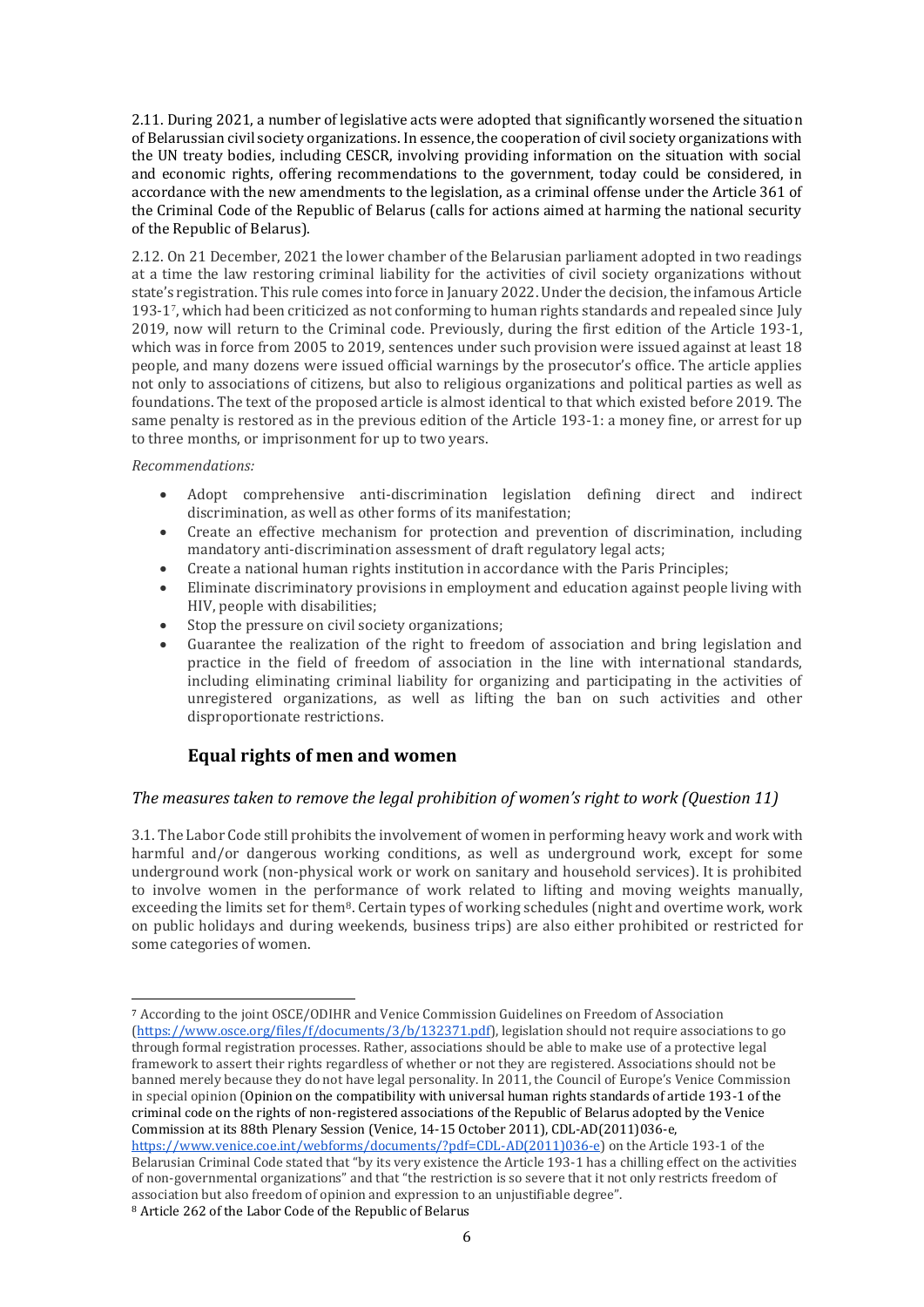2.11. During 2021, a number of legislative acts were adopted that significantly worsened the situation of Belarussian civil society organizations. In essence, the cooperation of civil society organizations with the UN treaty bodies, including CESCR, involving providing information on the situation with social and economic rights, offering recommendations to the government, today could be considered, in accordance with the new amendments to the legislation, as a criminal offense under the Article 361 of the Criminal Code of the Republic of Belarus (calls for actions aimed at harming the national security of the Republic of Belarus).

2.12. On 21 December, 2021 the lower chamber of the Belarusian parliament adopted in two readings at a time the law restoring criminal liability for the activities of civil society organizations without state's registration. This rule comes into force in January 2022. Under the decision, the infamous Article 193-1 7 , which had been criticized as not conforming to human rights standards and repealed since July 2019, now will return to the Criminal code. Previously, during the first edition of the Article 193-1, which was in force from 2005 to 2019, sentences under such provision were issued against at least 18 people, and many dozens were issued official warnings by the prosecutor's office. The article applies not only to associations of citizens, but also to religious organizations and political parties as well as foundations. The text of the proposed article is almost identical to that which existed before 2019. The same penalty is restored as in the previous edition of the Article 193-1: a money fine, or arrest for up to three months, or imprisonment for up to two years.

#### *Recommendations:*

- Adopt comprehensive anti-discrimination legislation defining direct and indirect discrimination, as well as other forms of its manifestation;
- Create an effective mechanism for protection and prevention of discrimination, including mandatory anti-discrimination assessment of draft regulatory legal acts;
- Create a national human rights institution in accordance with the Paris Principles;
- Eliminate discriminatory provisions in employment and education against people living with HIV, people with disabilities;
- Stop the pressure on civil society organizations;
- Guarantee the realization of the right to freedom of association and bring legislation and practice in the field of freedom of association in the line with international standards, including eliminating criminal liability for organizing and participating in the activities of unregistered organizations, as well as lifting the ban on such activities and other disproportionate restrictions.

## <span id="page-5-0"></span>**Equal rights of men and women**

#### <span id="page-5-1"></span>*The measures taken to remove the legal prohibition of women's right to work (Question 11)*

3.1. The Labor Code still prohibits the involvement of women in performing heavy work and work with harmful and/or dangerous working conditions, as well as underground work, except for some underground work (non-physical work or work on sanitary and household services). It is prohibited to involve women in the performance of work related to lifting and moving weights manually, exceeding the limits set for them<sup>8</sup>. Certain types of working schedules (night and overtime work, work on public holidays and during weekends, business trips) are also either prohibited or restricted for some categories of women.

l <sup>7</sup> According to the joint OSCE/ODIHR and Venice Commission Guidelines on Freedom of Association [\(https://www.osce.org/files/f/documents/3/b/132371.pdf\)](https://www.osce.org/files/f/documents/3/b/132371.pdf), legislation should not require associations to go through formal registration processes. Rather, associations should be able to make use of a protective legal framework to assert their rights regardless of whether or not they are registered. Associations should not be banned merely because they do not have legal personality. In 2011, the Council of Europe's Venice Commission in special opinion (Opinion on the compatibility with universal human rights standards of article 193-1 of the criminal code on the rights of non-registered associations of the Republic of Belarus adopted by the Venice Commission at its 88th Plenary Session (Venice, 14-15 October 2011), CDL-AD(2011)036-e, [https://www.venice.coe.int/webforms/documents/?pdf=CDL-AD\(2011\)036-e\)](https://www.venice.coe.int/webforms/documents/?pdf=CDL-AD(2011)036-e) on the Article 193-1 of the

Belarusian Criminal Code stated that "by its very existence the Article 193-1 has a chilling effect on the activities of non-governmental organizations" and that "the restriction is so severe that it not only restricts freedom of association but also freedom of opinion and expression to an unjustifiable degree".

<sup>8</sup> Article 262 of the Labor Code of the Republic of Belarus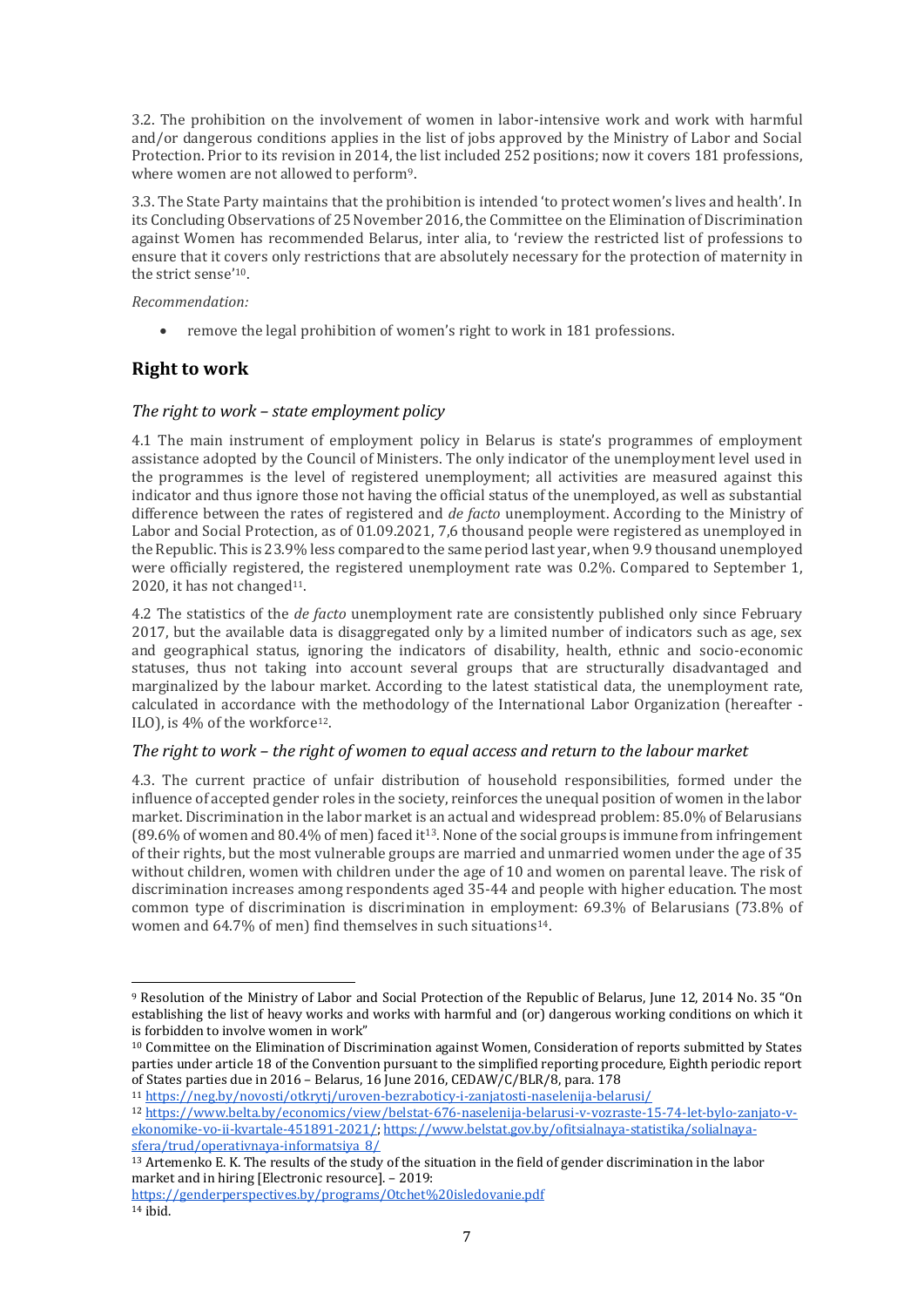3.2. The prohibition on the involvement of women in labor-intensive work and work with harmful and/or dangerous conditions applies in the list of jobs approved by the Ministry of Labor and Social Protection. Prior to its revision in 2014, the list included 252 positions; now it covers 181 professions, where women are not allowed to perform9.

3.3. The State Party maintains that the prohibition is intended 'to protect women's lives and health'. In its Concluding Observations of 25 November 2016, the Committee on the Elimination of Discrimination against Women has recommended Belarus, inter alia, to 'review the restricted list of professions to ensure that it covers only restrictions that are absolutely necessary for the protection of maternity in the strict sense'10.

#### *Recommendation:*

remove the legal prohibition of women's right to work in 181 professions.

## <span id="page-6-0"></span>**Right to work**

#### <span id="page-6-1"></span>*The right to work – state employment policy*

4.1 The main instrument of employment policy in Belarus is state's programmes of employment assistance adopted by the Council of Ministers. The only indicator of the unemployment level used in the programmes is the level of registered unemployment; all activities are measured against this indicator and thus ignore those not having the official status of the unemployed, as well as substantial difference between the rates of registered and *de facto* unemployment. According to the Ministry of Labor and Social Protection, as of 01.09.2021, 7,6 thousand people were registered as unemployed in the Republic. This is 23.9% less compared to the same period last year, when 9.9 thousand unemployed were officially registered, the registered unemployment rate was 0.2%. Compared to September 1, 2020, it has not changed<sup>11</sup>.

4.2 The statistics of the *de facto* unemployment rate are consistently published only since February 2017, but the available data is disaggregated only by a limited number of indicators such as age, sex and geographical status, ignoring the indicators of disability, health, ethnic and socio-economic statuses, thus not taking into account several groups that are structurally disadvantaged and marginalized by the labour market. According to the latest statistical data, the unemployment rate, calculated in accordance with the methodology of the International Labor Organization (hereafter - ILO), is 4% of the workforce<sup>12</sup>.

#### <span id="page-6-2"></span>*The right to work – the right of women to equal access and return to the labour market*

4.3. The current practice of unfair distribution of household responsibilities, formed under the influence of accepted gender roles in the society, reinforces the unequal position of women in the labor market. Discrimination in the labor market is an actual and widespread problem: 85.0% of Belarusians  $(89.6\%$  of women and  $80.4\%$  of men) faced it<sup>13</sup>. None of the social groups is immune from infringement of their rights, but the most vulnerable groups are married and unmarried women under the age of 35 without children, women with children under the age of 10 and women on parental leave. The risk of discrimination increases among respondents aged 35-44 and people with higher education. The most common type of discrimination is discrimination in employment: 69.3% of Belarusians (73.8% of women and 64.7% of men) find themselves in such situations<sup>14</sup>.

<sup>11</sup> <https://neg.by/novosti/otkrytj/uroven-bezraboticy-i-zanjatosti-naselenija-belarusi/>

<sup>9</sup> Resolution of the Ministry of Labor and Social Protection of the Republic of Belarus, June 12, 2014 No. 35 "On establishing the list of heavy works and works with harmful and (or) dangerous working conditions on which it is forbidden to involve women in work"

<sup>10</sup> Committee on the Elimination of Discrimination against Women, Consideration of reports submitted by States parties under article 18 of the Convention pursuant to the simplified reporting procedure, Eighth periodic report of States parties due in 2016 – Belarus, 16 June 2016, CEDAW/C/BLR/8, para. 178

<sup>12</sup> [https://www.belta.by/economics/view/belstat-676-naselenija-belarusi-v-vozraste-15-74-let-bylo-zanjato-v](https://www.belta.by/economics/view/belstat-676-naselenija-belarusi-v-vozraste-15-74-let-bylo-zanjato-v-ekonomike-vo-ii-kvartale-451891-2021/)[ekonomike-vo-ii-kvartale-451891-2021/;](https://www.belta.by/economics/view/belstat-676-naselenija-belarusi-v-vozraste-15-74-let-bylo-zanjato-v-ekonomike-vo-ii-kvartale-451891-2021/) [https://www.belstat.gov.by/ofitsialnaya-statistika/solialnaya](https://www.belstat.gov.by/ofitsialnaya-statistika/solialnaya-sfera/trud/operativnaya-informatsiya_8/)[sfera/trud/operativnaya-informatsiya\\_8/](https://www.belstat.gov.by/ofitsialnaya-statistika/solialnaya-sfera/trud/operativnaya-informatsiya_8/)

<sup>13</sup> Artemenko E. K. The results of the study of the situation in the field of gender discrimination in the labor market and in hiring [Electronic resource]. – 2019:

<https://genderperspectives.by/programs/Otchet%20isledovanie.pdf>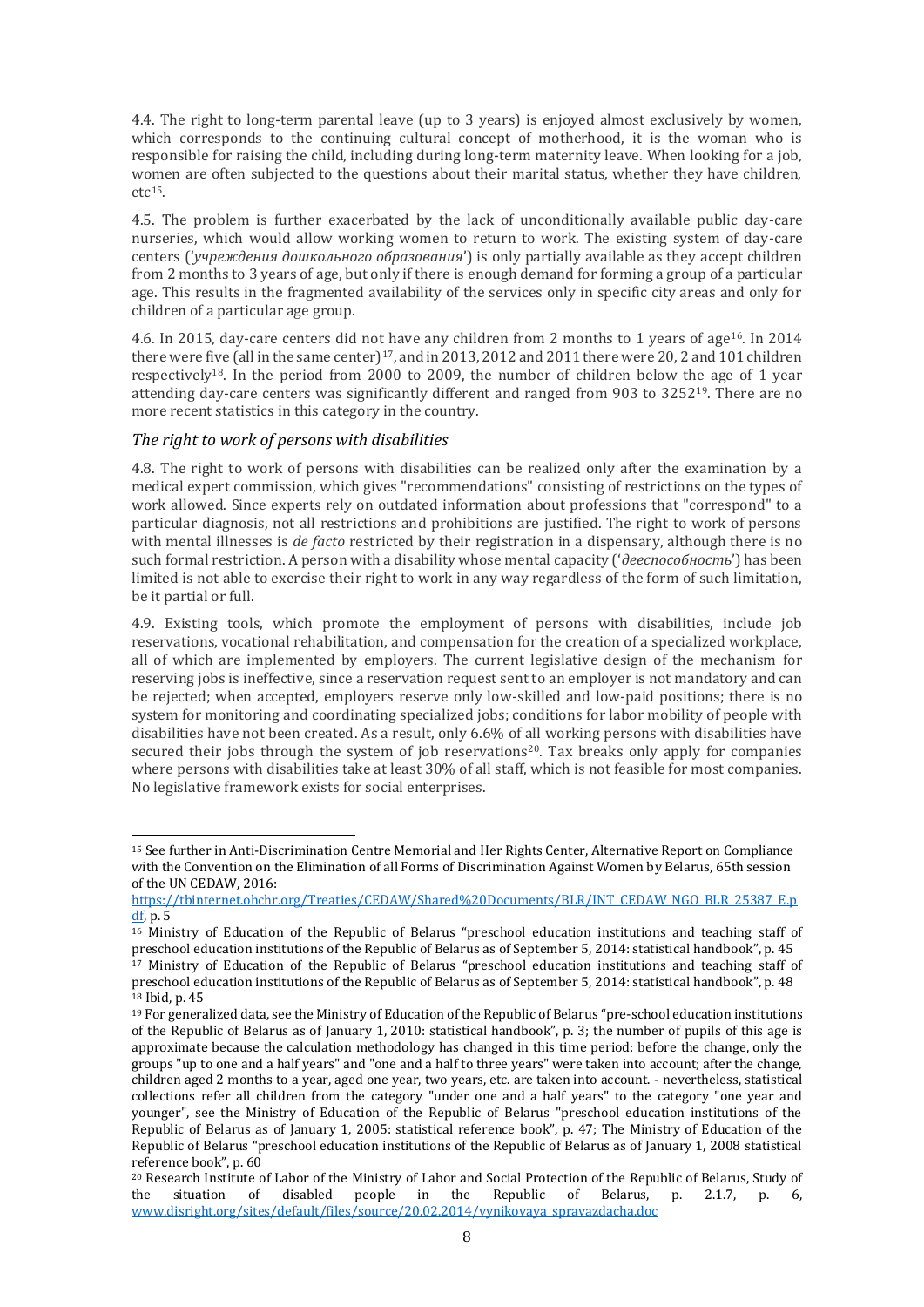4.4. The right to long-term parental leave (up to 3 years) is enjoyed almost exclusively by women, which corresponds to the continuing cultural concept of motherhood, it is the woman who is responsible for raising the child, including during long-term maternity leave. When looking for a job, women are often subjected to the questions about their marital status, whether they have children, etc15.

4.5. The problem is further exacerbated by the lack of unconditionally available public day-care nurseries, which would allow working women to return to work. The existing system of day-care centers ('*учреждения дошкольного образования*') is only partially available as they accept children from 2 months to 3 years of age, but only if there is enough demand for forming a group of a particular age. This results in the fragmented availability of the services only in specific city areas and only for children of a particular age group.

4.6. In 2015, day-care centers did not have any children from 2 months to 1 years of age<sup>16</sup>. In 2014 there were five (all in the same center)<sup>17</sup>, and in 2013, 2012 and 2011 there were 20, 2 and 101 children respectively18. In the period from 2000 to 2009, the number of children below the age of 1 year attending day-care centers was significantly different and ranged from 903 to 3252<sup>19</sup>. There are no more recent statistics in this category in the country.

#### <span id="page-7-0"></span>*The right to work of persons with disabilities*

l

4.8. The right to work of persons with disabilities can be realized only after the examination by a medical expert commission, which gives "recommendations" consisting of restrictions on the types of work allowed. Since experts rely on outdated information about professions that "correspond" to a particular diagnosis, not all restrictions and prohibitions are justified. The right to work of persons with mental illnesses is *de facto* restricted by their registration in a dispensary, although there is no such formal restriction. A person with a disability whose mental capacity ('*дееспособность*') has been limited is not able to exercise their right to work in any way regardless of the form of such limitation, be it partial or full.

4.9. Existing tools, which promote the employment of persons with disabilities, include job reservations, vocational rehabilitation, and compensation for the creation of a specialized workplace, all of which are implemented by employers. The current legislative design of the mechanism for reserving jobs is ineffective, since a reservation request sent to an employer is not mandatory and can be rejected; when accepted, employers reserve only low-skilled and low-paid positions; there is no system for monitoring and coordinating specialized jobs; conditions for labor mobility of people with disabilities have not been created. As a result, only 6.6% of all working persons with disabilities have secured their jobs through the system of job reservations<sup>20</sup>. Tax breaks only apply for companies where persons with disabilities take at least 30% of all staff, which is not feasible for most companies. No legislative framework exists for social enterprises.

<sup>15</sup> See further in Anti-Discrimination Centre Memorial and Her Rights Center, Alternative Report on Compliance with the Convention on the Elimination of all Forms of Discrimination Against Women by Belarus, 65th session of the UN CEDAW, 2016:

[https://tbinternet.ohchr.org/Treaties/CEDAW/Shared%20Documents/BLR/INT\\_CEDAW\\_NGO\\_BLR\\_25387\\_E.p](https://tbinternet.ohchr.org/Treaties/CEDAW/Shared%20Documents/BLR/INT_CEDAW_NGO_BLR_25387_E.pdf) [df,](https://tbinternet.ohchr.org/Treaties/CEDAW/Shared%20Documents/BLR/INT_CEDAW_NGO_BLR_25387_E.pdf) p. 5

<sup>16</sup> Ministry of Education of the Republic of Belarus "preschool education institutions and teaching staff of preschool education institutions of the Republic of Belarus as of September 5, 2014: statistical handbook", p. 45 <sup>17</sup> Ministry of Education of the Republic of Belarus "preschool education institutions and teaching staff of

preschool education institutions of the Republic of Belarus as of September 5, 2014: statistical handbook", p. 48 <sup>18</sup> Ibid, p. 45

 $19$  For generalized data, see the Ministry of Education of the Republic of Belarus "pre-school education institutions of the Republic of Belarus as of January 1, 2010: statistical handbook", p. 3; the number of pupils of this age is approximate because the calculation methodology has changed in this time period: before the change, only the groups "up to one and a half years" and "one and a half to three years" were taken into account; after the change, children aged 2 months to a year, aged one year, two years, etc. are taken into account. - nevertheless, statistical collections refer all children from the category "under one and a half years" to the category "one year and younger", see the Ministry of Education of the Republic of Belarus "preschool education institutions of the Republic of Belarus as of January 1, 2005: statistical reference book", p. 47; The Ministry of Education of the Republic of Belarus "preschool education institutions of the Republic of Belarus as of January 1, 2008 statistical reference book", p. 60

<sup>20</sup> Research Institute of Labor of the Ministry of Labor and Social Protection of the Republic of Belarus, Study of the situation of disabled people in the Republic of Belarus, p. 2.1.7, p. 6, [www.disright.org/sites/default/files/source/20.02.2014/vynikovaya\\_spravazdacha.doc](http://www.disright.org/sites/default/files/source/20.02.2014/vynikovaya_spravazdacha.doc)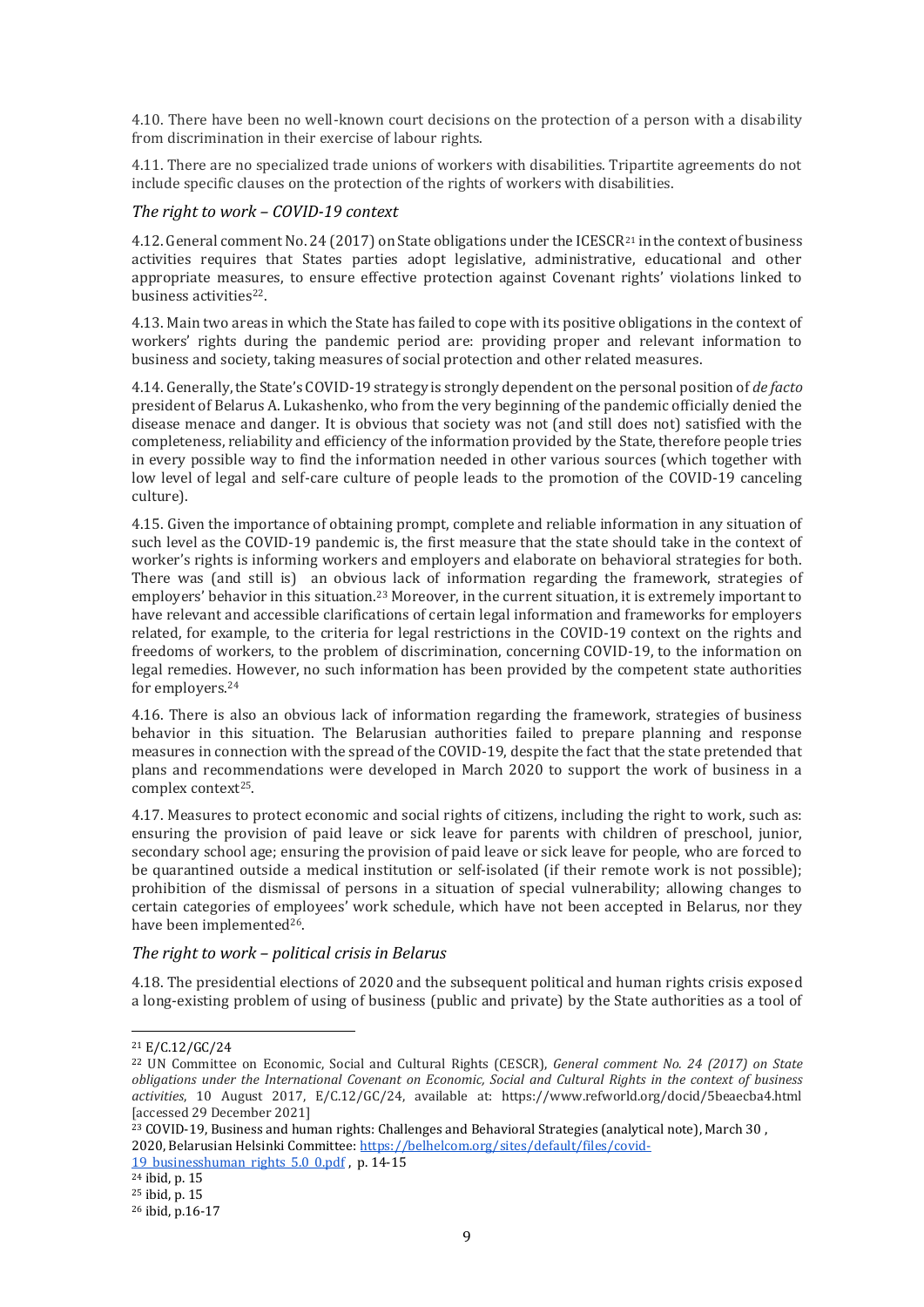4.10. There have been no well-known court decisions on the protection of a person with a disability from discrimination in their exercise of labour rights.

4.11. There are no specialized trade unions of workers with disabilities. Tripartite agreements do not include specific clauses on the protection of the rights of workers with disabilities.

#### <span id="page-8-0"></span>*The right to work – COVID-19 context*

4.12. General comment No. 24 (2017) on State obligations under the ICESCR<sup>21</sup> in the context of business activities requires that States parties adopt legislative, administrative, educational and other appropriate measures, to ensure effective protection against Covenant rights' violations linked to business activities<sup>22</sup>.

4.13. Main two areas in which the State has failed to cope with its positive obligations in the context of workers' rights during the pandemic period are: providing proper and relevant information to business and society, taking measures of social protection and other related measures.

4.14. Generally, the State's COVID-19 strategy is strongly dependent on the personal position of *de facto* president of Belarus A. Lukashenko, who from the very beginning of the pandemic officially denied the disease menace and danger. It is obvious that society was not (and still does not) satisfied with the completeness, reliability and efficiency of the information provided by the State, therefore people tries in every possible way to find the information needed in other various sources (which together with low level of legal and self-care culture of people leads to the promotion of the COVID-19 canceling culture).

4.15. Given the importance of obtaining prompt, complete and reliable information in any situation of such level as the COVID-19 pandemic is, the first measure that the state should take in the context of worker's rights is informing workers and employers and elaborate on behavioral strategies for both. There was (and still is) an obvious lack of information regarding the framework, strategies of employers' behavior in this situation.<sup>23</sup> Moreover, in the current situation, it is extremely important to have relevant and accessible clarifications of certain legal information and frameworks for employers related, for example, to the criteria for legal restrictions in the COVID-19 context on the rights and freedoms of workers, to the problem of discrimination, concerning COVID-19, to the information on legal remedies. However, no such information has been provided by the competent state authorities for employers.<sup>24</sup>

4.16. There is also an obvious lack of information regarding the framework, strategies of business behavior in this situation. The Belarusian authorities failed to prepare planning and response measures in connection with the spread of the COVID-19, despite the fact that the state pretended that plans and recommendations were developed in March 2020 to support the work of business in a complex context<sup>25</sup>.

4.17. Measures to protect economic and social rights of citizens, including the right to work, such as: ensuring the provision of paid leave or sick leave for parents with children of preschool, junior, secondary school age; ensuring the provision of paid leave or sick leave for people, who are forced to be quarantined outside a medical institution or self-isolated (if their remote work is not possible); prohibition of the dismissal of persons in a situation of special vulnerability; allowing changes to certain categories of employees' work schedule, which have not been accepted in Belarus, nor they have been implemented<sup>26</sup>.

#### <span id="page-8-1"></span>*The right to work – political crisis in Belarus*

4.18. The presidential elections of 2020 and the subsequent political and human rights crisis exposed a long-existing problem of using of business (public and private) by the State authorities as a tool of

<sup>21</sup> E/C.12/GC/24

<sup>22</sup> UN Committee on Economic, Social and Cultural Rights (CESCR), *General comment No. 24 (2017) on State obligations under the International Covenant on Economic, Social and Cultural Rights in the context of business activities*, 10 August 2017, E/C.12/GC/24, available at: https://www.refworld.org/docid/5beaecba4.html [accessed 29 December 2021]

 $^{23}$  COVID-19, Business and human rights: Challenges and Behavioral Strategies (analytical note), March 30 , 2020, Belarusian Helsinki Committee: [https://belhelcom.org/sites/default/files/covid-](https://belhelcom.org/sites/default/files/covid-19_businesshuman_rights_5.0_0.pdf)

<sup>19</sup> businesshuman rights  $5.0$  0.pdf, p. 14-15

 $24$  ibid, p. 15 <sup>25</sup> ibid, p. 15

<sup>26</sup> ibid, p.16-17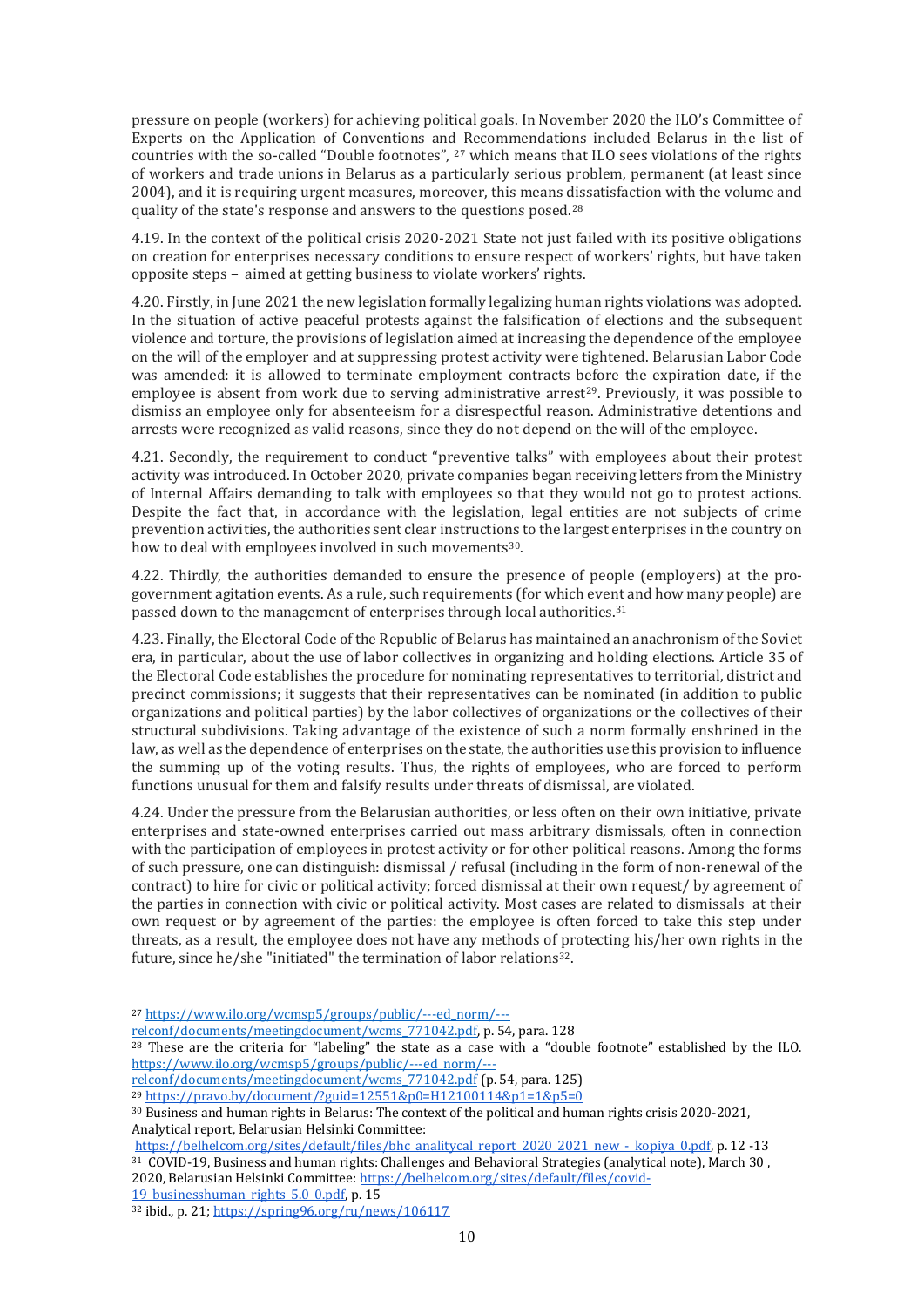pressure on people (workers) for achieving political goals. In November 2020 the ILO's Committee of Experts on the Application of Conventions and Recommendations included Belarus in the list of countries with the so-called "Double footnotes", <sup>27</sup> which means that ILO sees violations of the rights of workers and trade unions in Belarus as a particularly serious problem, permanent (at least since 2004), and it is requiring urgent measures, moreover, this means dissatisfaction with the volume and quality of the state's response and answers to the questions posed.<sup>28</sup>

4.19. In the context of the political crisis 2020-2021 State not just failed with its positive obligations on creation for enterprises necessary conditions to ensure respect of workers' rights, but have taken opposite steps – aimed at getting business to violate workers' rights.

4.20. Firstly, in June 2021 the new legislation formally legalizing human rights violations was adopted. In the situation of active peaceful protests against the falsification of elections and the subsequent violence and torture, the provisions of legislation aimed at increasing the dependence of the employee on the will of the employer and at suppressing protest activity were tightened. Belarusian Labor Code was amended: it is allowed to terminate employment contracts before the expiration date, if the employee is absent from work due to serving administrative arrest<sup>29</sup>. Previously, it was possible to dismiss an employee only for absenteeism for a disrespectful reason. Administrative detentions and arrests were recognized as valid reasons, since they do not depend on the will of the employee.

4.21. Secondly, the requirement to conduct "preventive talks" with employees about their protest activity was introduced. In October 2020, private companies began receiving letters from the Ministry of Internal Affairs demanding to talk with employees so that they would not go to protest actions. Despite the fact that, in accordance with the legislation, legal entities are not subjects of crime prevention activities, the authorities sent clear instructions to the largest enterprises in the country on how to deal with employees involved in such movements<sup>30</sup>.

4.22. Thirdly, the authorities demanded to ensure the presence of people (employers) at the progovernment agitation events. As a rule, such requirements (for which event and how many people) are passed down to the management of enterprises through local authorities.<sup>31</sup>

4.23. Finally, the Electoral Code of the Republic of Belarus has maintained an anachronism of the Soviet era, in particular, about the use of labor collectives in organizing and holding elections. Article 35 of the Electoral Code establishes the procedure for nominating representatives to territorial, district and precinct commissions; it suggests that their representatives can be nominated (in addition to public organizations and political parties) by the labor collectives of organizations or the collectives of their structural subdivisions. Taking advantage of the existence of such a norm formally enshrined in the law, as well as the dependence of enterprises on the state, the authorities use this provision to influence the summing up of the voting results. Thus, the rights of employees, who are forced to perform functions unusual for them and falsify results under threats of dismissal, are violated.

4.24. Under the pressure from the Belarusian authorities, or less often on their own initiative, private enterprises and state-owned enterprises carried out mass arbitrary dismissals, often in connection with the participation of employees in protest activity or for other political reasons. Among the forms of such pressure, one can distinguish: dismissal / refusal (including in the form of non-renewal of the contract) to hire for civic or political activity; forced dismissal at their own request/ by agreement of the parties in connection with civic or political activity. Most cases are related to dismissals at their own request or by agreement of the parties: the employee is often forced to take this step under threats, as a result, the employee does not have any methods of protecting his/her own rights in the future, since he/she "initiated" the termination of labor relations<sup>32</sup>.

l

[relconf/documents/meetingdocument/wcms\\_771042.pdf,](https://www.ilo.org/wcmsp5/groups/public/---ed_norm/---relconf/documents/meetingdocument/wcms_771042.pdf) p. 54, para. 128

[https://belhelcom.org/sites/default/files/bhc\\_analitycal\\_report\\_2020\\_2021\\_new\\_-\\_kopiya\\_0.pdf,](https://belhelcom.org/sites/default/files/bhc_analitycal_report_2020_2021_new_-_kopiya_0.pdf) p. 12 -13 <sup>31</sup> COVID-19, Business and human rights: Challenges and Behavioral Strategies (analytical note), March 30 ,

2020, Belarusian Helsinki Committee[: https://belhelcom.org/sites/default/files/covid-](https://belhelcom.org/sites/default/files/covid-19_businesshuman_rights_5.0_0.pdf)19 businesshuman rights 5.0 0.pdf, p. 15

<sup>27</sup> [https://www.ilo.org/wcmsp5/groups/public/---ed\\_norm/---](https://www.ilo.org/wcmsp5/groups/public/---ed_norm/---relconf/documents/meetingdocument/wcms_771042.pdf)

 $\frac{28}{28}$  These are the criteria for "labeling" the state as a case with a "double footnote" established by the IL[O.](https://www.ilo.org/wcmsp5/groups/public/---ed_norm/---relconf/documents/meetingdocument/wcms_771042.pdf) [https://www.ilo.org/wcmsp5/groups/public/---ed\\_norm/---](https://www.ilo.org/wcmsp5/groups/public/---ed_norm/---relconf/documents/meetingdocument/wcms_771042.pdf)

relevity in the mass of the conference of the conference of the confederation of the relevant of the relevant of the relevant of the relevant of the relevant of the relevant of the relevant of the relevant of the relevant

<sup>29</sup> <https://pravo.by/document/?guid=12551&p0=H12100114&p1=1&p5=0>

<sup>30</sup> Business and human rights in Belarus: The context of the political and human rights crisis 2020-2021, Analytical report, Belarusian Helsinki Committee:

<sup>32</sup> ibid., p. 21[; https://spring96.org/ru/news/106117](https://spring96.org/ru/news/106117)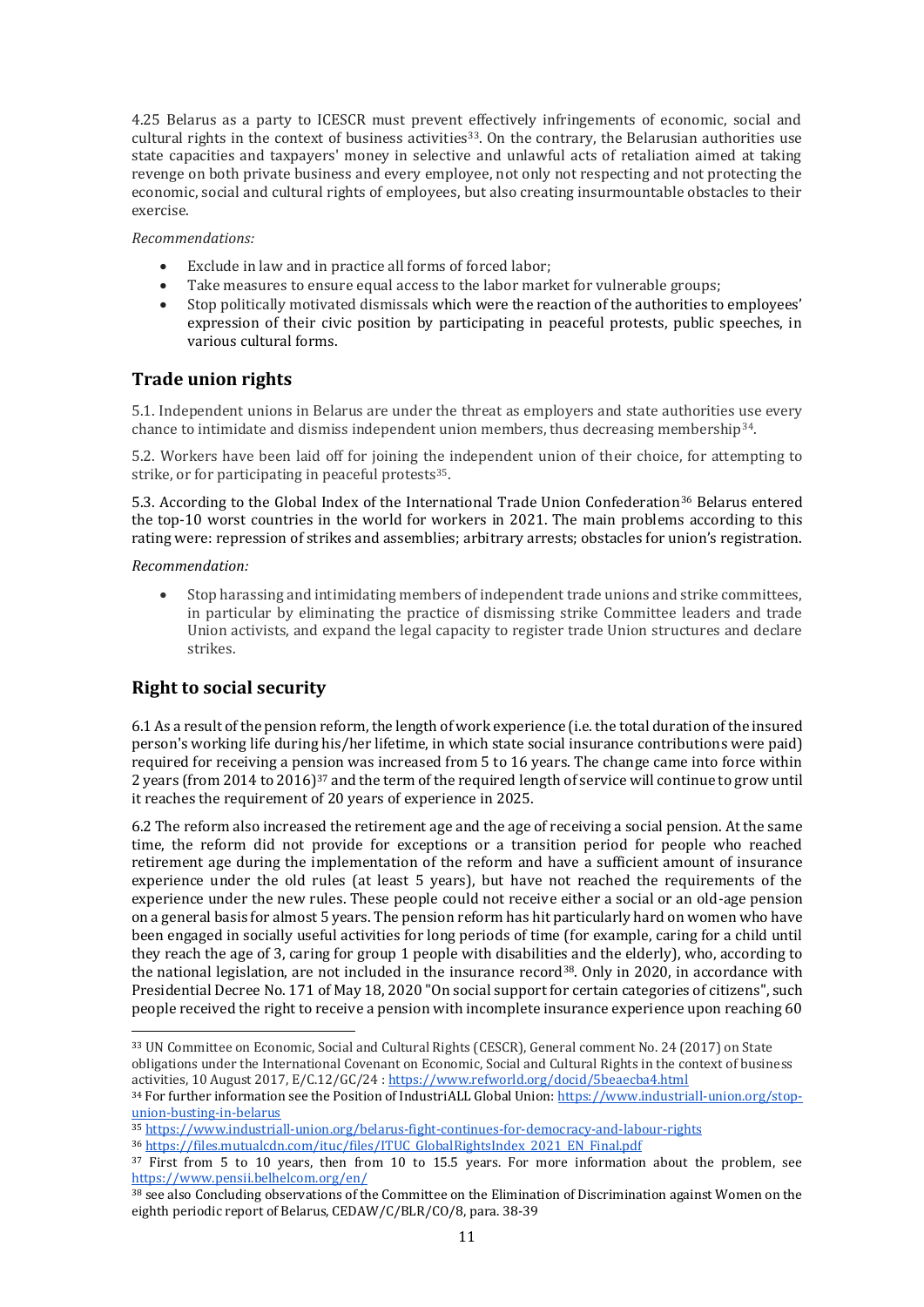4.25 Belarus as a party to ICESCR must prevent effectively infringements of economic, social and cultural rights in the context of business activities<sup>33</sup>. On the contrary, the Belarusian authorities use state capacities and taxpayers' money in selective and unlawful acts of retaliation aimed at taking revenge on both private business and every employee, not only not respecting and not protecting the economic, social and cultural rights of employees, but also creating insurmountable obstacles to their exercise.

*Recommendations:*

- Exclude in law and in practice all forms of forced labor;
- Take measures to ensure equal access to the labor market for vulnerable groups;
- Stop politically motivated dismissals which were the reaction of the authorities to employees' expression of their civic position by participating in peaceful protests, public speeches, in various cultural forms.

## <span id="page-10-0"></span>**Trade union rights**

5.1. Independent unions in Belarus are under the threat as employers and state authorities use every chance to intimidate and dismiss independent union members, thus decreasing membership<sup>34</sup>.

5.2. Workers have been laid off for joining the independent union of their choice, for attempting to strike, or for participating in peaceful protests<sup>35</sup>.

5.3. According to the Global Index of the International Trade Union Confederation<sup>36</sup> Belarus entered the top-10 worst countries in the world for workers in 2021. The main problems according to this rating were: repression of strikes and assemblies; arbitrary arrests; obstacles for union's registration.

#### *Recommendation:*

l

 Stop harassing and intimidating members of independent trade unions and strike committees, in particular by eliminating the practice of dismissing strike Committee leaders and trade Union activists, and expand the legal capacity to register trade Union structures and declare strikes.

## <span id="page-10-1"></span>**Right to social security**

6.1 As a result of the pension reform, the length of work experience (i.e. the total duration of the insured person's working life during his/her lifetime, in which state social insurance contributions were paid) required for receiving a pension was increased from 5 to 16 years. The change came into force within 2 years (from 2014 to 2016)<sup>37</sup> and the term of the required length of service will continue to grow until it reaches the requirement of 20 years of experience in 2025.

6.2 The reform also increased the retirement age and the age of receiving a social pension. At the same time, the reform did not provide for exceptions or a transition period for people who reached retirement age during the implementation of the reform and have a sufficient amount of insurance experience under the old rules (at least 5 years), but have not reached the requirements of the experience under the new rules. These people could not receive either a social or an old-age pension on a general basis for almost 5 years. The pension reform has hit particularly hard on women who have been engaged in socially useful activities for long periods of time (for example, caring for a child until they reach the age of 3, caring for group 1 people with disabilities and the elderly), who, according to the national legislation, are not included in the insurance record<sup>38</sup>. Only in 2020, in accordance with Presidential Decree No. 171 of May 18, 2020 "On social support for certain categories of citizens", such people received the right to receive a pension with incomplete insurance experience upon reaching 60

<sup>33</sup> UN Committee on Economic, Social and Cultural Rights (CESCR), General comment No. 24 (2017) on State obligations under the International Covenant on Economic, Social and Cultural Rights in the context of business activities, 10 August 2017, E/C.12/GC/24 [: https://www.refworld.org/docid/5beaecba4.html](https://www.refworld.org/docid/5beaecba4.html)

<sup>34</sup> For further information see the Position of IndustriALL Global Union[: https://www.industriall-union.org/stop](https://www.industriall-union.org/stop-union-busting-in-belarus)[union-busting-in-belarus](https://www.industriall-union.org/stop-union-busting-in-belarus)

<sup>35</sup> <https://www.industriall-union.org/belarus-fight-continues-for-democracy-and-labour-rights>

<sup>36</sup> [https://files.mutualcdn.com/ituc/files/ITUC\\_GlobalRightsIndex\\_2021\\_EN\\_Final.pdf](https://files.mutualcdn.com/ituc/files/ITUC_GlobalRightsIndex_2021_EN_Final.pdf)

<sup>&</sup>lt;sup>37</sup> First from 5 to 10 years, then from 10 to 15.5 years. For more information about the problem, see <https://www.pensii.belhelcom.org/en/>

<sup>38</sup> see also Concluding observations of the Committee on the Elimination of Discrimination against Women on the eighth periodic report of Belarus, CEDAW/C/BLR/CO/8, para. 38-39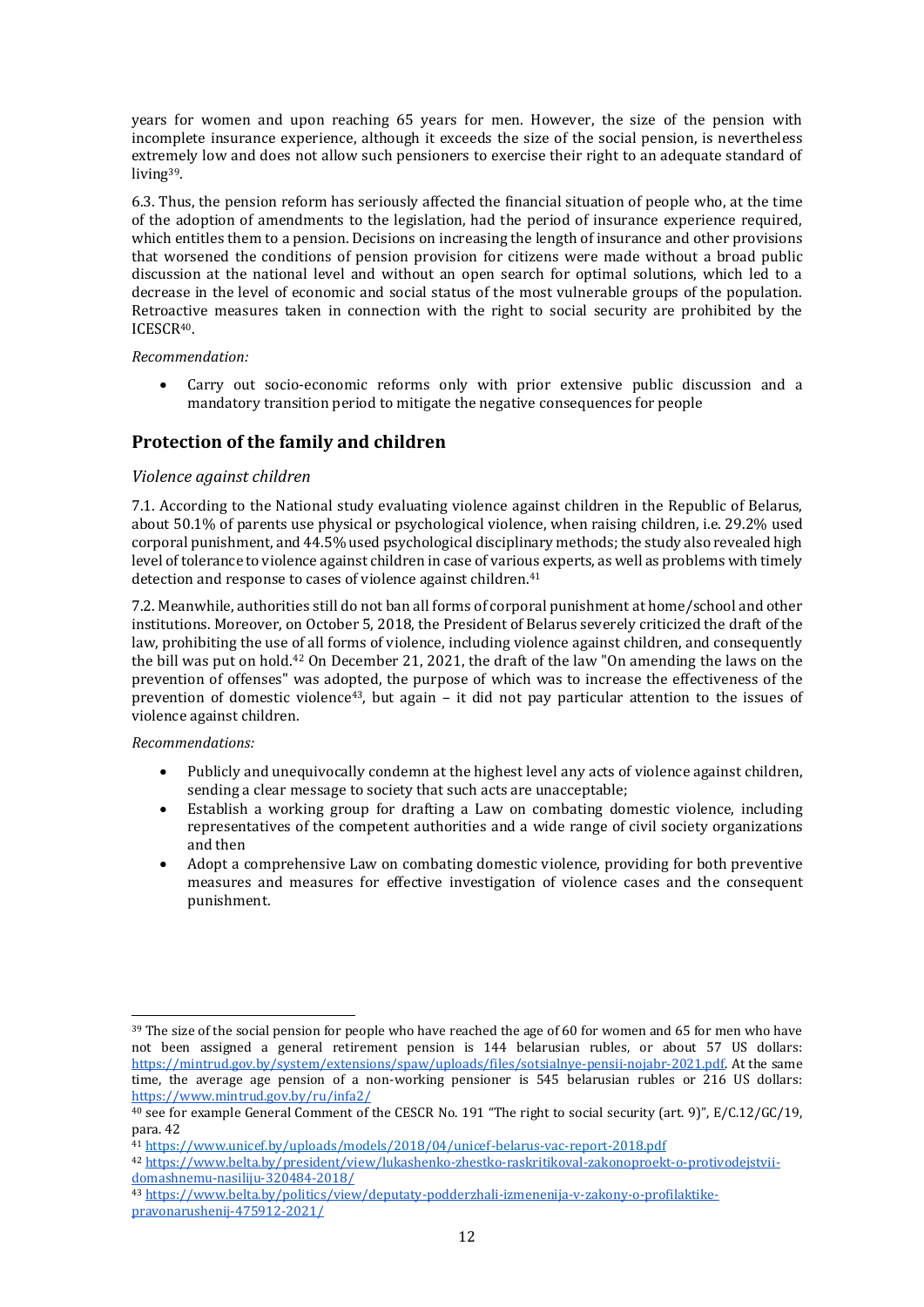years for women and upon reaching 65 years for men. However, the size of the pension with incomplete insurance experience, although it exceeds the size of the social pension, is nevertheless extremely low and does not allow such pensioners to exercise their right to an adequate standard of living39.

6.3. Thus, the pension reform has seriously affected the financial situation of people who, at the time of the adoption of amendments to the legislation, had the period of insurance experience required, which entitles them to a pension. Decisions on increasing the length of insurance and other provisions that worsened the conditions of pension provision for citizens were made without a broad public discussion at the national level and without an open search for optimal solutions, which led to a decrease in the level of economic and social status of the most vulnerable groups of the population. Retroactive measures taken in connection with the right to social security are prohibited by the ICESCR40.

#### *Recommendation:*

 Carry out socio-economic reforms only with prior extensive public discussion and a mandatory transition period to mitigate the negative consequences for people

## <span id="page-11-0"></span>**Protection of the family and children**

#### <span id="page-11-1"></span>*Violence against children*

7.1. According to the National study evaluating violence against children in the Republic of Belarus, about 50.1% of parents use physical or psychological violence, when raising children, i.e. 29.2% used corporal punishment, and 44.5% used psychological disciplinary methods; the study also revealed high level of tolerance to violence against children in case of various experts, as well as problems with timely detection and response to cases of violence against children.<sup>41</sup>

7.2. Meanwhile, authorities still do not ban all forms of corporal punishment at home/school and other institutions. Moreover, on October 5, 2018, the President of Belarus severely criticized the draft of the law, prohibiting the use of all forms of violence, including violence against children, and consequently the bill was put on hold.<sup>42</sup> On December 21, 2021, the draft of the law "On amending the laws on the prevention of offenses" was adopted, the purpose of which was to increase the effectiveness of the prevention of domestic violence<sup>43</sup>, but again - it did not pay particular attention to the issues of violence against children.

#### *Recommendations:*

- Publicly and unequivocally condemn at the highest level any acts of violence against children, sending a clear message to society that such acts are unacceptable;
- Establish a working group for drafting a Law on combating domestic violence, including representatives of the competent authorities and a wide range of civil society organizations and then
- Adopt a comprehensive Law on combating domestic violence, providing for both preventive measures and measures for effective investigation of violence cases and the consequent punishment.

<sup>&</sup>lt;sup>39</sup> The size of the social pension for people who have reached the age of 60 for women and 65 for men who have not been assigned a general retirement pension is 144 belarusian rubles, or about 57 US dollars: [https://mintrud.gov.by/system/extensions/spaw/uploads/files/sotsialnye-pensii-nojabr-2021.pdf.](https://mintrud.gov.by/system/extensions/spaw/uploads/files/sotsialnye-pensii-nojabr-2021.pdf) At the same time, the average age pension of a non-working pensioner is 545 belarusian rubles or 216 US dollars: <https://www.mintrud.gov.by/ru/infa2/>

<sup>40</sup> see for example General Comment of the CESCR No. 191 "The right to social security (art. 9)", E/C.12/GC/19, para. 42

<sup>41</sup> <https://www.unicef.by/uploads/models/2018/04/unicef-belarus-vac-report-2018.pdf>

<sup>42</sup> [https://www.belta.by/president/view/lukashenko-zhestko-raskritikoval-zakonoproekt-o-protivodejstvii](https://www.belta.by/president/view/lukashenko-zhestko-raskritikoval-zakonoproekt-o-protivodejstvii-domashnemu-nasiliju-320484-2018/)[domashnemu-nasiliju-320484-2018/](https://www.belta.by/president/view/lukashenko-zhestko-raskritikoval-zakonoproekt-o-protivodejstvii-domashnemu-nasiliju-320484-2018/)

<sup>43</sup> [https://www.belta.by/politics/view/deputaty-podderzhali-izmenenija-v-zakony-o-profilaktike](https://www.belta.by/politics/view/deputaty-podderzhali-izmenenija-v-zakony-o-profilaktike-pravonarushenij-475912-2021/)[pravonarushenij-475912-2021/](https://www.belta.by/politics/view/deputaty-podderzhali-izmenenija-v-zakony-o-profilaktike-pravonarushenij-475912-2021/)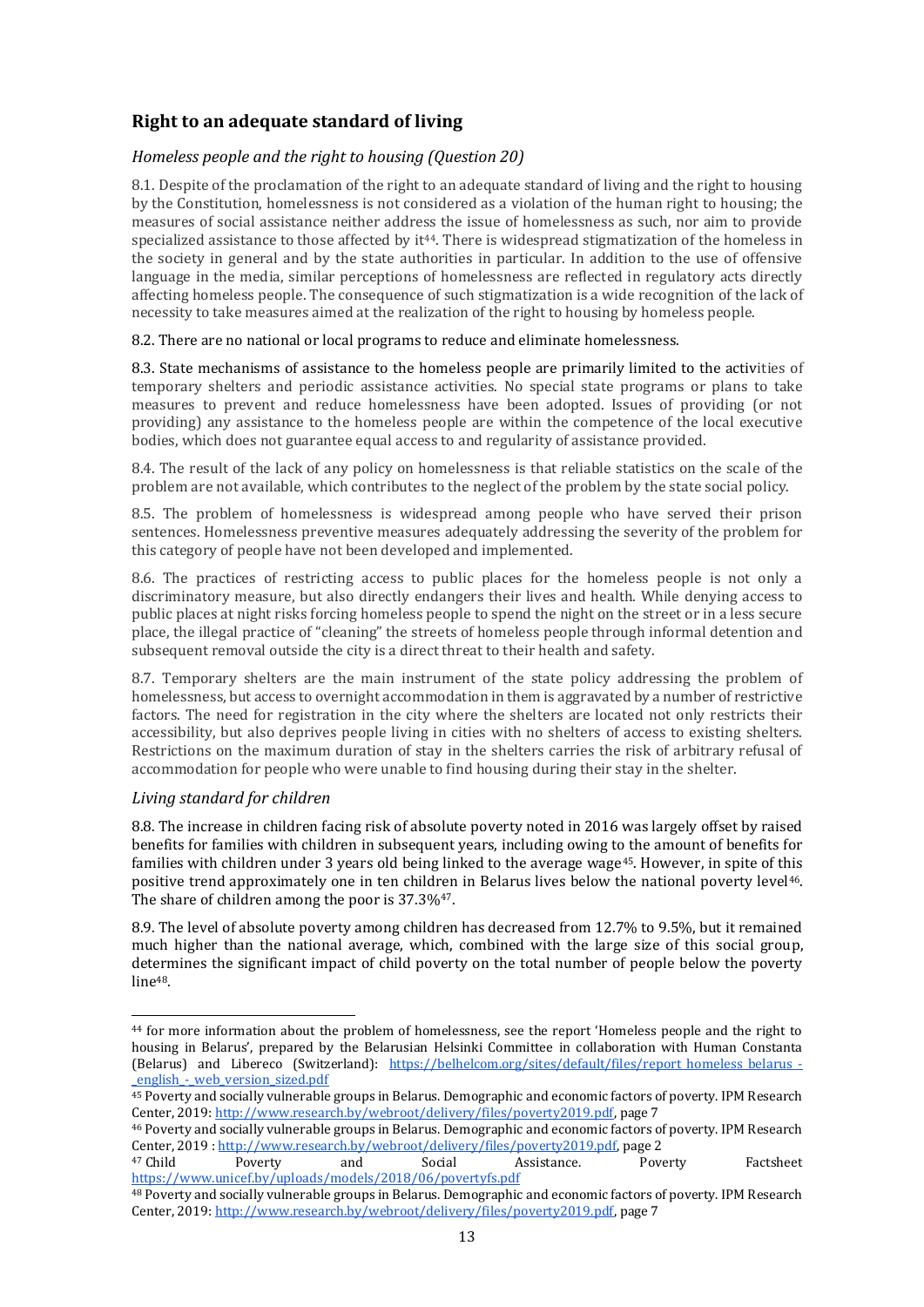## <span id="page-12-0"></span>**Right to an adequate standard of living**

## <span id="page-12-1"></span>*Homeless people and the right to housing (Question 20)*

8.1. Despite of the proclamation of the right to an adequate standard of living and the right to housing by the Constitution, homelessness is not considered as a violation of the human right to housing; the measures of social assistance neither address the issue of homelessness as such, nor aim to provide specialized assistance to those affected by  $it^{44}$ . There is widespread stigmatization of the homeless in the society in general and by the state authorities in particular. In addition to the use of offensive language in the media, similar perceptions of homelessness are reflected in regulatory acts directly affecting homeless people. The consequence of such stigmatization is a wide recognition of the lack of necessity to take measures aimed at the realization of the right to housing by homeless people.

#### 8.2. There are no national or local programs to reduce and eliminate homelessness.

8.3. State mechanisms of assistance to the homeless people are primarily limited to the activities of temporary shelters and periodic assistance activities. No special state programs or plans to take measures to prevent and reduce homelessness have been adopted. Issues of providing (or not providing) any assistance to the homeless people are within the competence of the local executive bodies, which does not guarantee equal access to and regularity of assistance provided.

8.4. The result of the lack of any policy on homelessness is that reliable statistics on the scale of the problem are not available, which contributes to the neglect of the problem by the state social policy.

8.5. The problem of homelessness is widespread among people who have served their prison sentences. Homelessness preventive measures adequately addressing the severity of the problem for this category of people have not been developed and implemented.

8.6. The practices of restricting access to public places for the homeless people is not only a discriminatory measure, but also directly endangers their lives and health. While denying access to public places at night risks forcing homeless people to spend the night on the street or in a less secure place, the illegal practice of "cleaning" the streets of homeless people through informal detention and subsequent removal outside the city is a direct threat to their health and safety.

8.7. Temporary shelters are the main instrument of the state policy addressing the problem of homelessness, but access to overnight accommodation in them is aggravated by a number of restrictive factors. The need for registration in the city where the shelters are located not only restricts their accessibility, but also deprives people living in cities with no shelters of access to existing shelters. Restrictions on the maximum duration of stay in the shelters carries the risk of arbitrary refusal of accommodation for people who were unable to find housing during their stay in the shelter.

#### <span id="page-12-2"></span>*Living standard for children*

l

8.8. The increase in children facing risk of absolute poverty noted in 2016 was largely offset by raised benefits for families with children in subsequent years, including owing to the amount of benefits for families with children under 3 years old being linked to the average wage<sup>45</sup>. However, in spite of this positive trend approximately one in ten children in Belarus lives below the national poverty level<sup>46</sup>. The share of children among the poor is 37.3%<sup>47</sup>.

8.9. The level of absolute poverty among children has decreased from 12.7% to 9.5%, but it remained much higher than the national average, which, combined with the large size of this social group, determines the significant impact of child poverty on the total number of people below the poverty line48.

<sup>44</sup> for more information about the problem of homelessness, see the report 'Homeless people and the right to housing in Belarus', prepared by the Belarusian Helsinki Committee in collaboration with Human Constanta (Belarus) and Libereco (Switzerland): https://belhelcom.org/sites/default/files/report homeless belarus english - web version sized.pdf

<sup>45</sup> Poverty and socially vulnerable groups in Belarus. Demographic and economic factors of poverty. IPM Research Center, 2019[: http://www.research.by/webroot/delivery/files/poverty2019.pdf,](http://www.research.by/webroot/delivery/files/poverty2019.pdf) page 7

<sup>46</sup> Poverty and socially vulnerable groups in Belarus. Demographic and economic factors of poverty. IPM Research Center, 2019 [: http://www.research.by/webroot/delivery/files/poverty2019.pdf,](http://www.research.by/webroot/delivery/files/poverty2019.pdf) page 2

<sup>47</sup> Child Poverty and Social Assistance. Poverty Factsheet <https://www.unicef.by/uploads/models/2018/06/povertyfs.pdf>

<sup>48</sup> Poverty and socially vulnerable groups in Belarus. Demographic and economic factors of poverty. IPM Research Center, 2019[: http://www.research.by/webroot/delivery/files/poverty2019.pdf,](http://www.research.by/webroot/delivery/files/poverty2019.pdf) page 7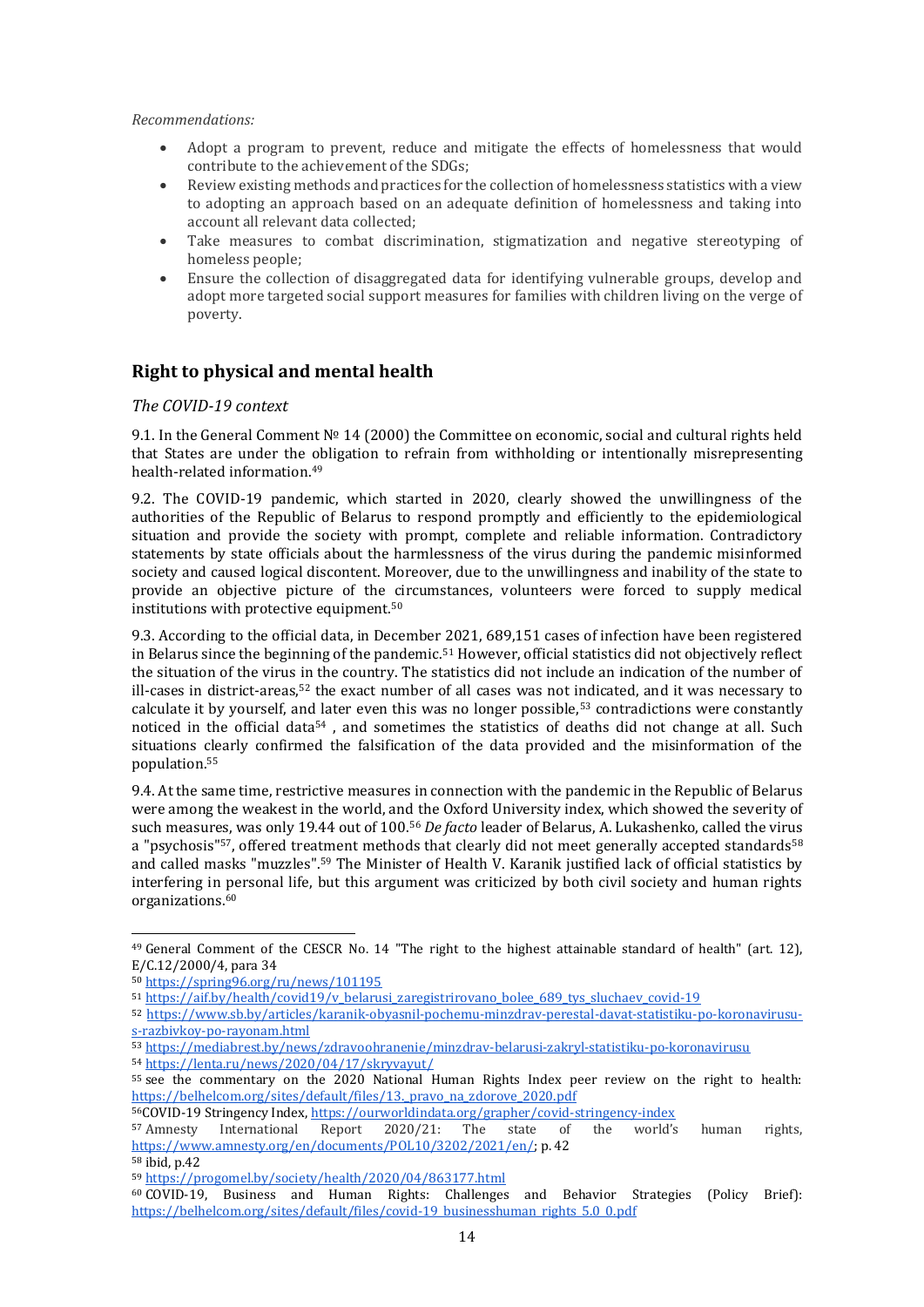#### *Recommendations:*

- Adopt a program to prevent, reduce and mitigate the effects of homelessness that would contribute to the achievement of the SDGs;
- Review existing methods and practices for the collection of homelessness statistics with a view to adopting an approach based on an adequate definition of homelessness and taking into account all relevant data collected;
- Take measures to combat discrimination, stigmatization and negative stereotyping of homeless people;
- Ensure the collection of disaggregated data for identifying vulnerable groups, develop and adopt more targeted social support measures for families with children living on the verge of poverty.

## <span id="page-13-0"></span>**Right to physical and mental health**

#### <span id="page-13-1"></span>*The COVID-19 context*

9.1. In the General Comment № 14 (2000) the Committee on economic, social and cultural rights held that States are under the obligation to refrain from withholding or intentionally misrepresenting health-related information.<sup>49</sup>

9.2. The COVID-19 pandemic, which started in 2020, clearly showed the unwillingness of the authorities of the Republic of Belarus to respond promptly and efficiently to the epidemiological situation and provide the society with prompt, complete and reliable information. Contradictory statements by state officials about the harmlessness of the virus during the pandemic misinformed society and caused logical discontent. Moreover, due to the unwillingness and inability of the state to provide an objective picture of the circumstances, volunteers were forced to supply medical institutions with protective equipment.<sup>50</sup>

9.3. According to the official data, in December 2021, 689,151 cases of infection have been registered in Belarus since the beginning of the pandemic.<sup>51</sup> However, official statistics did not objectively reflect the situation of the virus in the country. The statistics did not include an indication of the number of ill-cases in district-areas,<sup>52</sup> the exact number of all cases was not indicated, and it was necessary to calculate it by yourself, and later even this was no longer possible,<sup>53</sup> contradictions were constantly noticed in the official data<sup>54</sup>, and sometimes the statistics of deaths did not change at all. Such situations clearly confirmed the falsification of the data provided and the misinformation of the population. 55

9.4. At the same time, restrictive measures in connection with the pandemic in the Republic of Belarus were among the weakest in the world, and the Oxford University index, which showed the severity of such measures, was only 19.44 out of 100.<sup>56</sup> *De facto* leader of Belarus, A. Lukashenko, called the virus a "psychosis"<sup>57</sup>, offered treatment methods that clearly did not meet generally accepted standards<sup>58</sup> and called masks "muzzles". <sup>59</sup> The Minister of Health V. Karanik justified lack of official statistics by interfering in personal life, but this argument was criticized by both civil society and human rights organizations. 60

<sup>55</sup> see the commentary on the 2020 National Human Rights Index peer review on the right to health: https://belhelcom.org/sites/default/files/13. pravo\_na\_zdorove\_2020.pdf

<sup>56</sup>COVID-19 Stringency Index, <u>https://ourworldindata.org/grapher/covid-stringency-index</u><br><sup>57</sup> Amnesty International Report 2020/21: The state of the world's

<sup>49</sup> General Comment of the CESCR No. 14 "The right to the highest attainable standard of health" (art. 12), E/C.12/2000/4, para 34

<sup>50</sup> <https://spring96.org/ru/news/101195>

<sup>51</sup> [https://aif.by/health/covid19/v\\_belarusi\\_zaregistrirovano\\_bolee\\_689\\_tys\\_sluchaev\\_covid-19](https://aif.by/health/covid19/v_belarusi_zaregistrirovano_bolee_689_tys_sluchaev_covid-19)

<sup>52</sup> [https://www.sb.by/articles/karanik-obyasnil-pochemu-minzdrav-perestal-davat-statistiku-po-koronavirusu](https://www.sb.by/articles/karanik-obyasnil-pochemu-minzdrav-perestal-davat-statistiku-po-koronavirusu-s-razbivkoy-po-rayonam.html)[s-razbivkoy-po-rayonam.html](https://www.sb.by/articles/karanik-obyasnil-pochemu-minzdrav-perestal-davat-statistiku-po-koronavirusu-s-razbivkoy-po-rayonam.html)

<sup>53</sup> <https://mediabrest.by/news/zdravoohranenie/minzdrav-belarusi-zakryl-statistiku-po-koronavirusu> <sup>54</sup> <https://lenta.ru/news/2020/04/17/skryvayut/>

 $\frac{1}{2020/21}$ : The state of the world's human rights, [https://www.amnesty.org/en/documents/POL10/3202/2021/en/;](https://www.amnesty.org/en/documents/POL10/3202/2021/en/) p. 42

<sup>58</sup> ibid, p.42

<sup>59</sup> <https://progomel.by/society/health/2020/04/863177.html>

<sup>60</sup> COVID-19, Business and Human Rights: Challenges and Behavior Strategies (Policy Brief): [https://belhelcom.org/sites/default/files/covid-19\\_businesshuman\\_rights\\_5.0\\_0.pdf](https://belhelcom.org/sites/default/files/covid-19_businesshuman_rights_5.0_0.pdf)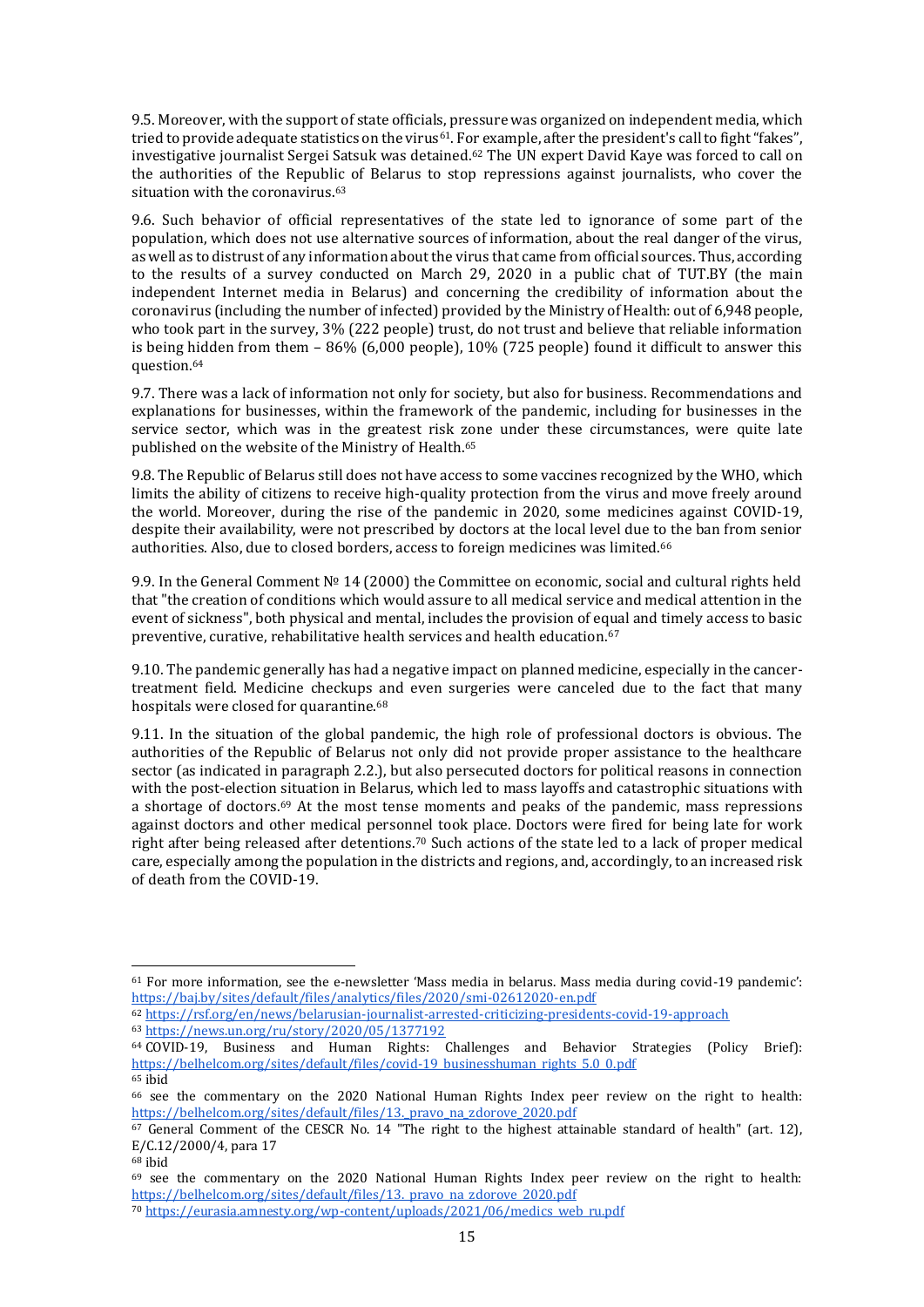9.5. Moreover, with the support of state officials, pressure was organized on independent media, which tried to provide adequate statistics on the virus<sup>61</sup>. For example, after the president's call to fight "fakes", investigative journalist Sergei Satsuk was detained. <sup>62</sup> The UN expert David Kaye was forced to call on the authorities of the Republic of Belarus to stop repressions against journalists, who cover the situation with the coronavirus. 63

9.6. Such behavior of official representatives of the state led to ignorance of some part of the population, which does not use alternative sources of information, about the real danger of the virus, as well as to distrust of any information about the virus that came from official sources. Thus, according to the results of a survey conducted on March 29, 2020 in a public chat of TUT.BY (the main independent Internet media in Belarus) and concerning the credibility of information about the coronavirus (including the number of infected) provided by the Ministry of Health: out of 6,948 people, who took part in the survey, 3% (222 people) trust, do not trust and believe that reliable information is being hidden from them – 86% (6,000 people), 10% (725 people) found it difficult to answer this question.<sup>64</sup>

9.7. There was a lack of information not only for society, but also for business. Recommendations and explanations for businesses, within the framework of the pandemic, including for businesses in the service sector, which was in the greatest risk zone under these circumstances, were quite late published on the website of the Ministry of Health. 65

9.8. The Republic of Belarus still does not have access to some vaccines recognized by the WHO, which limits the ability of citizens to receive high-quality protection from the virus and move freely around the world. Moreover, during the rise of the pandemic in 2020, some medicines against COVID-19, despite their availability, were not prescribed by doctors at the local level due to the ban from senior authorities. Also, due to closed borders, access to foreign medicines was limited.<sup>66</sup>

9.9. In the General Comment № 14 (2000) the Committee on economic, social and cultural rights held that "the creation of conditions which would assure to all medical service and medical attention in the event of sickness", both physical and mental, includes the provision of equal and timely access to basic preventive, curative, rehabilitative health services and health education.<sup>67</sup>

9.10. The pandemic generally has had a negative impact on planned medicine, especially in the cancertreatment field. Medicine checkups and even surgeries were canceled due to the fact that many hospitals were closed for quarantine.<sup>68</sup>

9.11. In the situation of the global pandemic, the high role of professional doctors is obvious. The authorities of the Republic of Belarus not only did not provide proper assistance to the healthcare sector (as indicated in paragraph 2.2.), but also persecuted doctors for political reasons in connection with the post-election situation in Belarus, which led to mass layoffs and catastrophic situations with a shortage of doctors.<sup>69</sup> At the most tense moments and peaks of the pandemic, mass repressions against doctors and other medical personnel took place. Doctors were fired for being late for work right after being released after detentions.<sup>70</sup> Such actions of the state led to a lack of proper medical care, especially among the population in the districts and regions, and, accordingly, to an increased risk of death from the COVID-19.

<sup>61</sup> For more information, see the e-newsletter 'Mass media in belarus. Mass media during covid-19 pandemic': <https://baj.by/sites/default/files/analytics/files/2020/smi-02612020-en.pdf>

<sup>62</sup> <https://rsf.org/en/news/belarusian-journalist-arrested-criticizing-presidents-covid-19-approach> <sup>63</sup> <https://news.un.org/ru/story/2020/05/1377192>

<sup>64</sup> COVID-19, Business and Human Rights: Challenges and Behavior Strategies (Policy Brief): [https://belhelcom.org/sites/default/files/covid-19\\_businesshuman\\_rights\\_5.0\\_0.pdf](https://belhelcom.org/sites/default/files/covid-19_businesshuman_rights_5.0_0.pdf)

<sup>65</sup> ibid <sup>66</sup> see the commentary on the 2020 National Human Rights Index peer review on the right to health: [https://belhelcom.org/sites/default/files/13.\\_pravo\\_na\\_zdorove\\_2020.pdf](https://belhelcom.org/sites/default/files/13._pravo_na_zdorove_2020.pdf)

<sup>&</sup>lt;sup>67</sup> General Comment of the CESCR No. 14 "The right to the highest attainable standard of health" (art. 12), E/C.12/2000/4, para 17

 $68$  ibid

<sup>69</sup> see the commentary on the 2020 National Human Rights Index peer review on the right to health: https://belhelcom.org/sites/default/files/13. pravo\_na\_zdorove\_2020.pdf

<sup>70</sup> [https://eurasia.amnesty.org/wp-content/uploads/2021/06/medics\\_web\\_ru.pdf](https://eurasia.amnesty.org/wp-content/uploads/2021/06/medics_web_ru.pdf)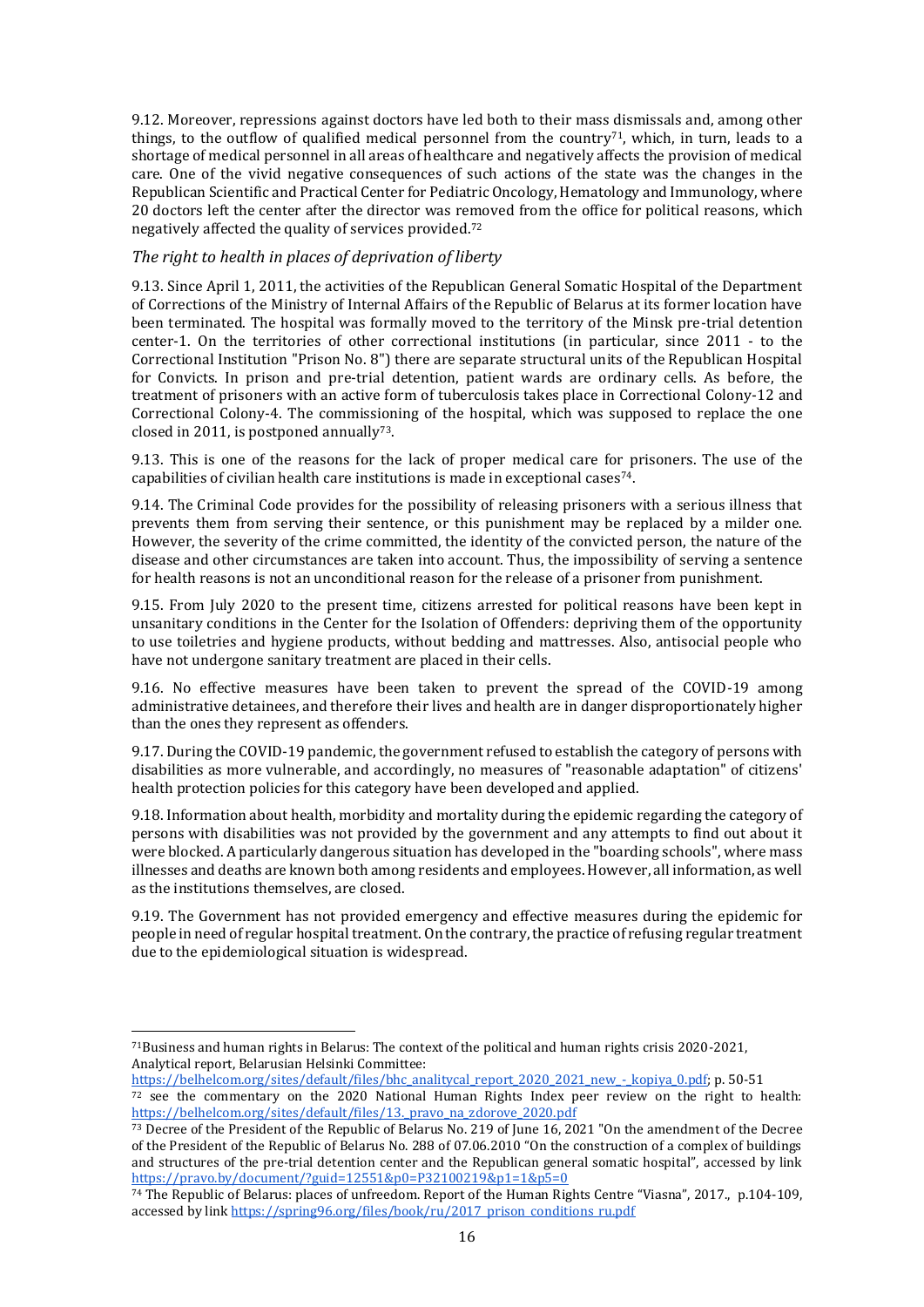9.12. Moreover, repressions against doctors have led both to their mass dismissals and, among other things, to the outflow of qualified medical personnel from the country<sup>71</sup>, which, in turn, leads to a shortage of medical personnel in all areas of healthcare and negatively affects the provision of medical care. One of the vivid negative consequences of such actions of the state was the changes in the Republican Scientific and Practical Center for Pediatric Oncology, Hematology and Immunology, where 20 doctors left the center after the director was removed from the office for political reasons, which negatively affected the quality of services provided.<sup>72</sup>

#### <span id="page-15-0"></span>*The right to health in places of deprivation of liberty*

9.13. Since April 1, 2011, the activities of the Republican General Somatic Hospital of the Department of Corrections of the Ministry of Internal Affairs of the Republic of Belarus at its former location have been terminated. The hospital was formally moved to the territory of the Minsk pre-trial detention center-1. On the territories of other correctional institutions (in particular, since 2011 - to the Correctional Institution "Prison No. 8") there are separate structural units of the Republican Hospital for Convicts. In prison and pre-trial detention, patient wards are ordinary cells. As before, the treatment of prisoners with an active form of tuberculosis takes place in Correctional Colony-12 and Correctional Colony-4. The commissioning of the hospital, which was supposed to replace the one closed in 2011, is postponed annually<sup>73</sup>.

9.13. This is one of the reasons for the lack of proper medical care for prisoners. The use of the capabilities of civilian health care institutions is made in exceptional cases74.

9.14. The Criminal Code provides for the possibility of releasing prisoners with a serious illness that prevents them from serving their sentence, or this punishment may be replaced by a milder one. However, the severity of the crime committed, the identity of the convicted person, the nature of the disease and other circumstances are taken into account. Thus, the impossibility of serving a sentence for health reasons is not an unconditional reason for the release of a prisoner from punishment.

9.15. From July 2020 to the present time, citizens arrested for political reasons have been kept in unsanitary conditions in the Center for the Isolation of Offenders: depriving them of the opportunity to use toiletries and hygiene products, without bedding and mattresses. Also, antisocial people who have not undergone sanitary treatment are placed in their cells.

9.16. No effective measures have been taken to prevent the spread of the COVID-19 among administrative detainees, and therefore their lives and health are in danger disproportionately higher than the ones they represent as offenders.

9.17. During the COVID-19 pandemic, the government refused to establish the category of persons with disabilities as more vulnerable, and accordingly, no measures of "reasonable adaptation" of citizens' health protection policies for this category have been developed and applied.

9.18. Information about health, morbidity and mortality during the epidemic regarding the category of persons with disabilities was not provided by the government and any attempts to find out about it were blocked. A particularly dangerous situation has developed in the "boarding schools", where mass illnesses and deaths are known both among residents and employees. However, all information, as well as the institutions themselves, are closed.

9.19. The Government has not provided emergency and effective measures during the epidemic for people in need of regular hospital treatment. On the contrary, the practice of refusing regular treatment due to the epidemiological situation is widespread.

<sup>71</sup>Business and human rights in Belarus: The context of the political and human rights crisis 2020-2021, Analytical report, Belarusian Helsinki Committee:

[https://belhelcom.org/sites/default/files/bhc\\_analitycal\\_report\\_2020\\_2021\\_new\\_-\\_kopiya\\_0.pdf;](https://belhelcom.org/sites/default/files/bhc_analitycal_report_2020_2021_new_-_kopiya_0.pdf) p. 50-51

<sup>&</sup>lt;sup>72</sup> see the commentary on the 2020 National Human Rights Index peer review on the right to health: [https://belhelcom.org/sites/default/files/13.\\_pravo\\_na\\_zdorove\\_2020.pdf](https://belhelcom.org/sites/default/files/13._pravo_na_zdorove_2020.pdf)

<sup>73</sup> Decree of the President of the Republic of Belarus No. 219 of June 16, 2021 "On the amendment of the Decree of the President of the Republic of Belarus No. 288 of 07.06.2010 "On the construction of a complex of buildings and structures of the pre-trial detention center and the Republican general somatic hospital", accessed by link <https://pravo.by/document/?guid=12551&p0=P32100219&p1=1&p5=0>

<sup>74</sup> The Republic of Belarus: places of unfreedom. Report of the Human Rights Centre "Viasna", 2017., p.104-109, accessed by link [https://spring96.org/files/book/ru/2017\\_prison\\_conditions\\_ru.pdf](https://spring96.org/files/book/ru/2017_prison_conditions_ru.pdf)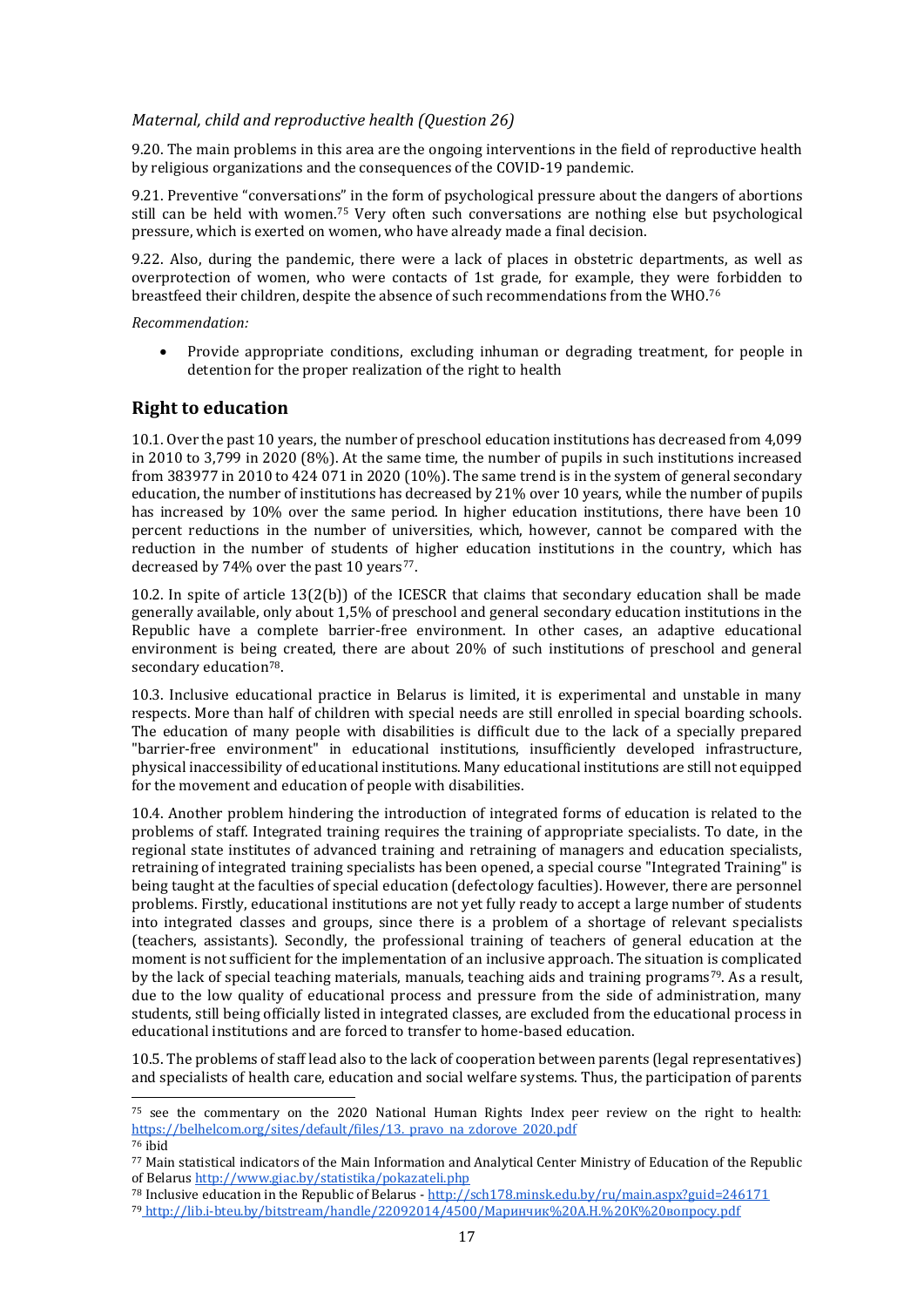#### <span id="page-16-0"></span>*Maternal, child and reproductive health (Question 26)*

9.20. The main problems in this area are the ongoing interventions in the field of reproductive health by religious organizations and the consequences of the COVID-19 pandemic.

9.21. Preventive "conversations" in the form of psychological pressure about the dangers of abortions still can be held with women.<sup>75</sup> Very often such conversations are nothing else but psychological pressure, which is exerted on women, who have already made a final decision.

9.22. Also, during the pandemic, there were a lack of places in obstetric departments, as well as overprotection of women, who were contacts of 1st grade, for example, they were forbidden to breastfeed their children, despite the absence of such recommendations from the WHO.<sup>76</sup>

*Recommendation:*

l

 Provide appropriate conditions, excluding inhuman or degrading treatment, for people in detention for the proper realization of the right to health

## <span id="page-16-1"></span>**Right to education**

10.1. Over the past 10 years, the number of preschool education institutions has decreased from 4,099 in 2010 to 3,799 in 2020 (8%). At the same time, the number of pupils in such institutions increased from 383977 in 2010 to 424 071 in 2020 (10%). The same trend is in the system of general secondary education, the number of institutions has decreased by 21% over 10 years, while the number of pupils has increased by 10% over the same period. In higher education institutions, there have been 10 percent reductions in the number of universities, which, however, cannot be compared with the reduction in the number of students of higher education institutions in the country, which has decreased by  $74%$  over the past 10 years<sup>77</sup>.

10.2. In spite of article  $13(2(b))$  of the ICESCR that claims that secondary education shall be made generally available, only about 1,5% of preschool and general secondary education institutions in the Republic have a complete barrier-free environment. In other cases, an adaptive educational environment is being created, there are about 20% of such institutions of preschool and general secondary education<sup>78</sup>.

10.3. Inclusive educational practice in Belarus is limited, it is experimental and unstable in many respects. More than half of children with special needs are still enrolled in special boarding schools. The education of many people with disabilities is difficult due to the lack of a specially prepared "barrier-free environment" in educational institutions, insufficiently developed infrastructure, physical inaccessibility of educational institutions. Many educational institutions are still not equipped for the movement and education of people with disabilities.

10.4. Another problem hindering the introduction of integrated forms of education is related to the problems of staff. Integrated training requires the training of appropriate specialists. To date, in the regional state institutes of advanced training and retraining of managers and education specialists, retraining of integrated training specialists has been opened, a special course "Integrated Training" is being taught at the faculties of special education (defectology faculties). However, there are personnel problems. Firstly, educational institutions are not yet fully ready to accept a large number of students into integrated classes and groups, since there is a problem of a shortage of relevant specialists (teachers, assistants). Secondly, the professional training of teachers of general education at the moment is not sufficient for the implementation of an inclusive approach. The situation is complicated by the lack of special teaching materials, manuals, teaching aids and training programs<sup>79</sup>. As a result, due to the low quality of educational process and pressure from the side of administration, many students, still being officially listed in integrated classes, are excluded from the educational process in educational institutions and are forced to transfer to home-based education.

10.5. The problems of staff lead also to the lack of cooperation between parents (legal representatives) and specialists of health care, education and social welfare systems. Thus, the participation of parents

<sup>75</sup> see the commentary on the 2020 National Human Rights Index peer review on the right to health: https://belhelcom.org/sites/default/files/13. pravo\_na\_zdorove\_2020.pdf <sup>76</sup> ibid

<sup>77</sup> Main statistical indicators of the Main Information and Analytical Center Ministry of Education of the Republic of Belarus<http://www.giac.by/statistika/pokazateli.php>

<sup>78</sup> Inclusive education in the Republic of Belarus - <http://sch178.minsk.edu.by/ru/main.aspx?guid=246171>

<sup>79</sup> http://lib.i-[bteu.by/bitstream/handle/22092014/4500/Маринчик%20А.Н.%20К%20вопросу.pdf](http://lib.i-bteu.by/bitstream/handle/22092014/4500/Маринчик%20А.Н.%20К%20вопросу.pdf)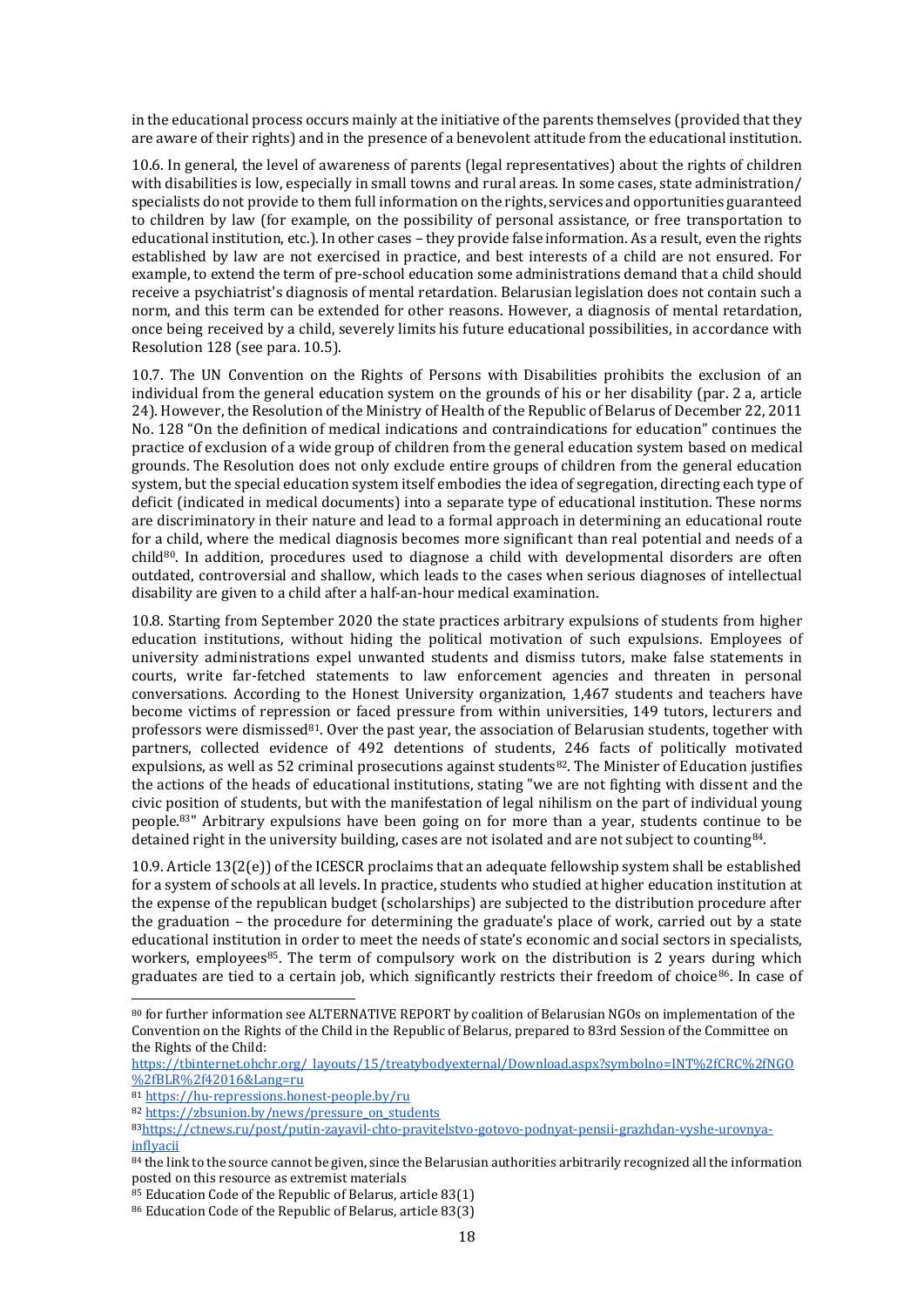in the educational process occurs mainly at the initiative of the parents themselves (provided that they are aware of their rights) and in the presence of a benevolent attitude from the educational institution.

10.6. In general, the level of awareness of parents (legal representatives) about the rights of children with disabilities is low, especially in small towns and rural areas. In some cases, state administration/ specialists do not provide to them full information on the rights, services and opportunities guaranteed to children by law (for example, on the possibility of personal assistance, or free transportation to educational institution, etc.). In other cases – they provide false information. As a result, even the rights established by law are not exercised in practice, and best interests of a child are not ensured. For example, to extend the term of pre-school education some administrations demand that a child should receive a psychiatrist's diagnosis of mental retardation. Belarusian legislation does not contain such a norm, and this term can be extended for other reasons. However, a diagnosis of mental retardation, once being received by a child, severely limits his future educational possibilities, in accordance with Resolution 128 (see para. 10.5).

10.7. The UN Convention on the Rights of Persons with Disabilities prohibits the exclusion of an individual from the general education system on the grounds of his or her disability (par. 2 a, article 24). However, the Resolution of the Ministry of Health of the Republic of Belarus of December 22, 2011 No. 128 "On the definition of medical indications and contraindications for education" continues the practice of exclusion of a wide group of children from the general education system based on medical grounds. The Resolution does not only exclude entire groups of children from the general education system, but the special education system itself embodies the idea of segregation, directing each type of deficit (indicated in medical documents) into a separate type of educational institution. These norms are discriminatory in their nature and lead to a formal approach in determining an educational route for a child, where the medical diagnosis becomes more significant than real potential and needs of a child80. In addition, procedures used to diagnose a child with developmental disorders are often outdated, controversial and shallow, which leads to the cases when serious diagnoses of intellectual disability are given to a child after a half-an-hour medical examination.

10.8. Starting from September 2020 the state practices arbitrary expulsions of students from higher education institutions, without hiding the political motivation of such expulsions. Employees of university administrations expel unwanted students and dismiss tutors, make false statements in courts, write far-fetched statements to law enforcement agencies and threaten in personal conversations. According to the Honest University organization, 1,467 students and teachers have become victims of repression or faced pressure from within universities, 149 tutors, lecturers and professors were dismissed<sup>81</sup>. Over the past year, the association of Belarusian students, together with partners, collected evidence of 492 detentions of students, 246 facts of politically motivated expulsions, as well as 52 criminal prosecutions against students $82$ . The Minister of Education justifies the actions of the heads of educational institutions, stating "we are not fighting with dissent and the civic position of students, but with the manifestation of legal nihilism on the part of individual young people.83" Arbitrary expulsions have been going on for more than a year, students continue to be detained right in the university building, cases are not isolated and are not subject to counting84.

10.9. Article 13(2(e)) of the ICESCR proclaims that an adequate fellowship system shall be established for a system of schools at all levels. In practice, students who studied at higher education institution at the expense of the republican budget (scholarships) are subjected to the distribution procedure after the graduation – the procedure for determining the graduate's place of work, carried out by a state educational institution in order to meet the needs of state's economic and social sectors in specialists, workers, employees<sup>85</sup>. The term of compulsory work on the distribution is 2 years during which graduates are tied to a certain job, which significantly restricts their freedom of choice86. In case of

<sup>80</sup> for further information see ALTERNATIVE REPORT by coalition of Belarusian NGOs on implementation of the Convention on the Rights of the Child in the Republic of Belarus, prepared to 83rd Session of the Committee on the Rights of the Child:

[https://tbinternet.ohchr.org/\\_layouts/15/treatybodyexternal/Download.aspx?symbolno=INT%2fCRC%2fNGO](https://tbinternet.ohchr.org/_layouts/15/treatybodyexternal/Download.aspx?symbolno=INT%2fCRC%2fNGO%2fBLR%2f42016&Lang=ru) [%2fBLR%2f42016&Lang=ru](https://tbinternet.ohchr.org/_layouts/15/treatybodyexternal/Download.aspx?symbolno=INT%2fCRC%2fNGO%2fBLR%2f42016&Lang=ru)

<sup>81</sup> <https://hu-repressions.honest-people.by/ru>

<sup>82</sup> [https://zbsunion.by/news/pressure\\_on\\_students](https://zbsunion.by/news/pressure_on_students)

<sup>83</sup>[https://ctnews.ru/post/putin-zayavil-chto-pravitelstvo-gotovo-podnyat-pensii-grazhdan-vyshe-urovnya](https://ctnews.ru/post/putin-zayavil-chto-pravitelstvo-gotovo-podnyat-pensii-grazhdan-vyshe-urovnya-inflyacii)[inflyacii](https://ctnews.ru/post/putin-zayavil-chto-pravitelstvo-gotovo-podnyat-pensii-grazhdan-vyshe-urovnya-inflyacii)

 $84$  the link to the source cannot be given, since the Belarusian authorities arbitrarily recognized all the information posted on this resource as extremist materials

<sup>85</sup> Education Code of the Republic of Belarus, article 83(1)

<sup>86</sup> Education Code of the Republic of Belarus, article 83(3)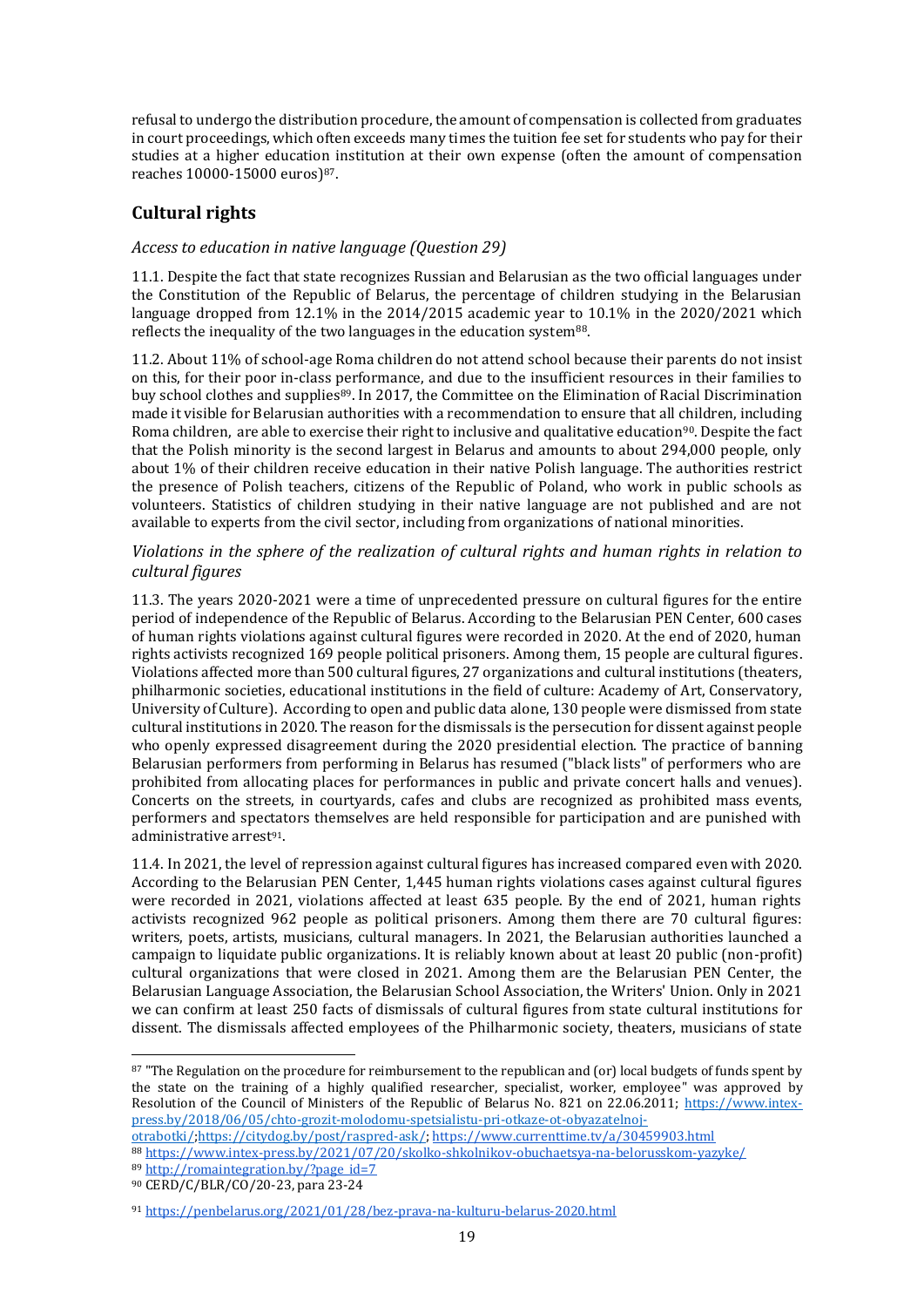refusal to undergo the distribution procedure, the amount of compensation is collected from graduates in court proceedings, which often exceeds many times the tuition fee set for students who pay for their studies at a higher education institution at their own expense (often the amount of compensation reaches 10000-15000 euros)87.

## <span id="page-18-0"></span>**Cultural rights**

## <span id="page-18-1"></span>*Access to education in native language (Question 29)*

11.1. Despite the fact that state recognizes Russian and Belarusian as the two official languages under the Constitution of the Republic of Belarus, the percentage of children studying in the Belarusian language dropped from 12.1% in the 2014/2015 academic year to 10.1% in the 2020/2021 which reflects the inequality of the two languages in the education system $88$ .

11.2. About 11% of school-age Roma children do not attend school because their parents do not insist on this, for their poor in-class performance, and due to the insufficient resources in their families to buy school clothes and supplies<sup>89</sup>. In 2017, the Committee on the Elimination of Racial Discrimination made it visible for Belarusian authorities with a recommendation to ensure that all children, including Roma children, are able to exercise their right to inclusive and qualitative education<sup>90</sup>. Despite the fact that the Polish minority is the second largest in Belarus and amounts to about 294,000 people, only about 1% of their children receive education in their native Polish language. The authorities restrict the presence of Polish teachers, citizens of the Republic of Poland, who work in public schools as volunteers. Statistics of children studying in their native language are not published and are not available to experts from the civil sector, including from organizations of national minorities.

#### *Violations in the sphere of the realization of cultural rights and human rights in relation to cultural figures*

11.3. The years 2020-2021 were a time of unprecedented pressure on cultural figures for the entire period of independence of the Republic of Belarus. According to the Belarusian PEN Center, 600 cases of human rights violations against cultural figures were recorded in 2020. At the end of 2020, human rights activists recognized 169 people political prisoners. Among them, 15 people are cultural figures. Violations affected more than 500 cultural figures, 27 organizations and cultural institutions (theaters, philharmonic societies, educational institutions in the field of culture: Academy of Art, Conservatory, University of Culture). According to open and public data alone, 130 people were dismissed from state cultural institutions in 2020. The reason for the dismissals is the persecution for dissent against people who openly expressed disagreement during the 2020 presidential election. The practice of banning Belarusian performers from performing in Belarus has resumed ("black lists" of performers who are prohibited from allocating places for performances in public and private concert halls and venues). Concerts on the streets, in courtyards, cafes and clubs are recognized as prohibited mass events, performers and spectators themselves are held responsible for participation and are punished with administrative arrest<sup>91</sup>.

11.4. In 2021, the level of repression against cultural figures has increased compared even with 2020. According to the Belarusian PEN Center, 1,445 human rights violations cases against cultural figures were recorded in 2021, violations affected at least 635 people. By the end of 2021, human rights activists recognized 962 people as political prisoners. Among them there are 70 cultural figures: writers, poets, artists, musicians, cultural managers. In 2021, the Belarusian authorities launched a campaign to liquidate public organizations. It is reliably known about at least 20 public (non-profit) cultural organizations that were closed in 2021. Among them are the Belarusian PEN Center, the Belarusian Language Association, the Belarusian School Association, the Writers' Union. Only in 2021 we can confirm at least 250 facts of dismissals of cultural figures from state cultural institutions for dissent. The dismissals affected employees of the Philharmonic society, theaters, musicians of state

[otrabotki/;](https://www.intex-press.by/2018/06/05/chto-grozit-molodomu-spetsialistu-pri-otkaze-ot-obyazatelnoj-otrabotki/)[https://citydog.by/post/raspred-ask/;](https://citydog.by/post/raspred-ask/)<https://www.currenttime.tv/a/30459903.html>

- 89 [http://romaintegration.by/?page\\_id=7](http://romaintegration.by/?page_id=7)
- <sup>90</sup> CERD/C/BLR/CO/20-23, para 23-24

<sup>87 &</sup>quot;The Regulation on the procedure for reimbursement to the republican and (or) local budgets of funds spent by the state on the training of a highly qualified researcher, specialist, worker, employee" was approved by Resolution of the Council of Ministers of the Republic of Belarus No. 821 on 22.06.2011; [https://www.intex](https://www.intex-press.by/2018/06/05/chto-grozit-molodomu-spetsialistu-pri-otkaze-ot-obyazatelnoj-otrabotki/)[press.by/2018/06/05/chto-grozit-molodomu-spetsialistu-pri-otkaze-ot-obyazatelnoj-](https://www.intex-press.by/2018/06/05/chto-grozit-molodomu-spetsialistu-pri-otkaze-ot-obyazatelnoj-otrabotki/)

<sup>88</sup> <https://www.intex-press.by/2021/07/20/skolko-shkolnikov-obuchaetsya-na-belorusskom-yazyke/>

<sup>91</sup> https://penbelarus.org/2021/01/28/bez-prava-na-kulturu-belarus-2020.html